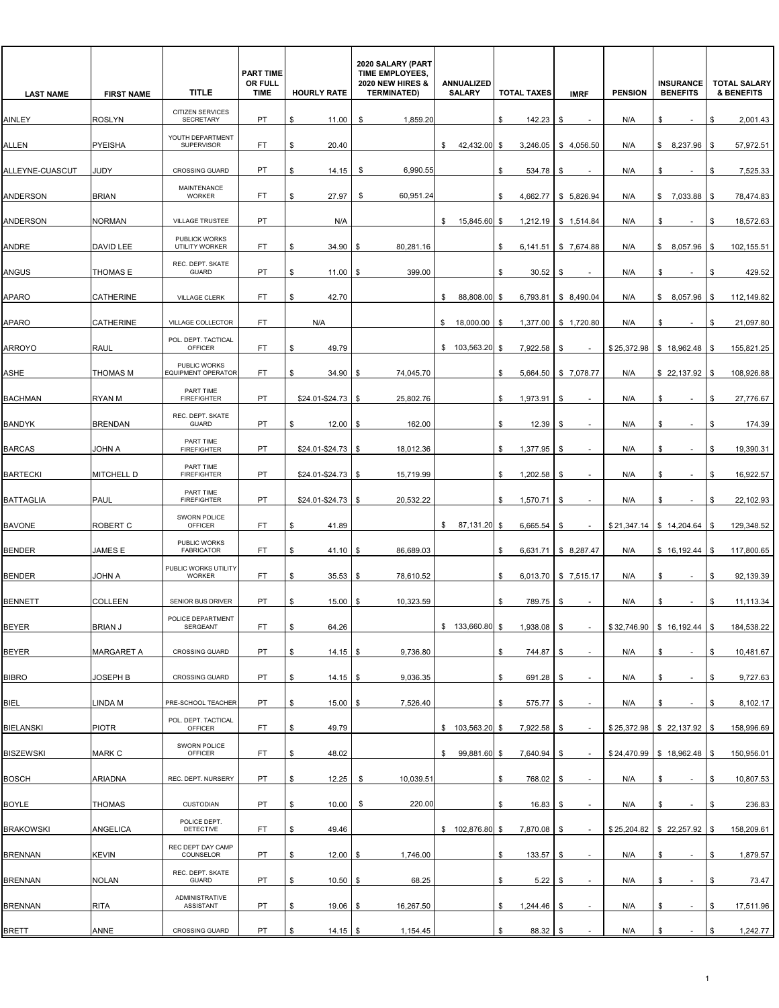| <b>LAST NAME</b> | <b>FIRST NAME</b> | <b>TITLE</b>                                | <b>PART TIME</b><br>OR FULL<br><b>TIME</b> | <b>HOURLY RATE</b>    | 2020 SALARY (PART<br>TIME EMPLOYEES,<br><b>2020 NEW HIRES &amp;</b><br><b>TERMINATED)</b> | ANNUALIZED<br><b>SALARY</b> | <b>TOTAL TAXES</b> | <b>IMRF</b>                    | <b>PENSION</b> | <b>INSURANCE</b><br><b>BENEFITS</b> | <b>TOTAL SALARY</b><br><b>&amp; BENEFITS</b> |
|------------------|-------------------|---------------------------------------------|--------------------------------------------|-----------------------|-------------------------------------------------------------------------------------------|-----------------------------|--------------------|--------------------------------|----------------|-------------------------------------|----------------------------------------------|
| AINLEY           | <b>ROSLYN</b>     | <b>CITIZEN SERVICES</b><br><b>SECRETARY</b> | PT                                         | \$<br>11.00           | 1,859.20<br>\$                                                                            |                             | \$<br>142.23       | \$                             | N/A            | \$                                  | \$<br>2,001.43                               |
| ALLEN            | PYEISHA           | YOUTH DEPARTMENT<br><b>SUPERVISOR</b>       | FT                                         | \$<br>20.40           |                                                                                           | 42,432.00<br>\$             | \$<br>3,246.05     | \$4,056.50                     | N/A            | \$8,237.96                          | 57,972.51<br>\$                              |
| ALLEYNE-CUASCUT  | JUDY              | <b>CROSSING GUARD</b>                       | PT                                         | \$<br>14.15           | 6,990.55<br>\$                                                                            |                             | \$<br>534.78       | \$                             | N/A            | \$                                  | 7,525.33<br>\$                               |
| <b>ANDERSON</b>  | <b>BRIAN</b>      | MAINTENANCE<br><b>WORKER</b>                | FT                                         | 27.97<br>\$           | 60,951.24<br>\$                                                                           |                             | \$                 | 4,662.77 \$ 5,826.94           | N/A            | \$7,033.88                          | \$<br>78,474.83                              |
| ANDERSON         | <b>NORMAN</b>     | VILLAGE TRUSTEE                             | PT                                         | N/A                   |                                                                                           | \$<br>15,845.60             | - \$               | 1,212.19   \$ 1,514.84         | N/A            | \$                                  | 18,572.63<br>\$                              |
| ANDRE            | DAVID LEE         | PUBLICK WORKS<br>UTILITY WORKER             | FT                                         | \$<br>34.90           | 80,281.16<br>\$                                                                           |                             | \$<br>6,141.51     | \$7,674.88                     | N/A            | \$8,057.96                          | \$<br>102,155.51                             |
| <b>ANGUS</b>     | THOMAS E          | REC. DEPT. SKATE<br><b>GUARD</b>            | PT                                         | \$<br>11.00           | 399.00<br>\$                                                                              |                             | 30.52<br>\$        | S                              | N/A            | \$                                  | 429.52<br>\$                                 |
| <b>APARO</b>     | <b>CATHERINE</b>  | VILLAGE CLERK                               | FT.                                        | \$<br>42.70           |                                                                                           | \$<br>88,808.00 \$          | 6,793.81           | \$ 8.490.04                    | N/A            | \$8,057.96                          | \$<br>112,149.82                             |
| <b>APARO</b>     | CATHERINE         | VILLAGE COLLECTOR                           | FT.                                        | N/A                   |                                                                                           | \$<br>18,000.00             | \$<br>1,377.00     | \$1,720.80                     | N/A            | \$<br>٠                             | \$<br>21,097.80                              |
| <b>ARROYO</b>    | <b>RAUL</b>       | POL. DEPT. TACTICAL<br>OFFICER              | FT                                         | 49.79<br>\$           |                                                                                           | \$103,563.20                | 7,922.58<br>\$     | \$                             |                | $$25,372.98$ \ \$ 18,962.48         | 155,821.25<br>\$                             |
| ASHE             | THOMAS M          | PUBLIC WORKS<br>EQUIPMENT OPERATOR          | FT                                         | \$<br>34.90           | 74,045.70<br>- \$                                                                         |                             | \$                 | 5,664.50   \$7,078.77          | N/A            | \$22,137.92                         | \$<br>108,926.88                             |
| <b>BACHMAN</b>   | RYAN M            | PART TIME<br><b>FIREFIGHTER</b>             | PT                                         | \$24.01-\$24.73       | -\$<br>25,802.76                                                                          |                             | \$<br>1,973.91     | \$                             | N/A            | \$<br>$\sim$                        | \$<br>27,776.67                              |
| <b>BANDYK</b>    | <b>BRENDAN</b>    | REC. DEPT. SKATE<br><b>GUARD</b>            | PT                                         | 12.00<br>\$           | 162.00<br>- \$                                                                            |                             | 12.39<br>\$        | \$                             | N/A            | \$                                  | 174.39<br>\$                                 |
| <b>BARCAS</b>    | JOHN A            | PART TIME<br><b>FIREFIGHTER</b>             | PT                                         | $$24.01 - $24.73$ \\$ | 18,012.36                                                                                 |                             | \$<br>1,377.95     | \$                             | N/A            | \$                                  | \$<br>19,390.31                              |
| <b>BARTECKI</b>  | MITCHELL D        | PART TIME<br><b>FIREFIGHTER</b>             | <b>PT</b>                                  | \$24.01-\$24.73       | -\$<br>15,719.99                                                                          |                             | \$<br>1,202.58     | \$                             | N/A            | \$<br>٠                             | \$<br>16,922.57                              |
| <b>BATTAGLIA</b> | PAUL              | PART TIME<br><b>FIREFIGHTER</b>             | PT                                         | \$24.01-\$24.73       | 20,532.22<br>- \$                                                                         |                             | 1,570.71<br>S.     | \$                             | N/A            | \$                                  | 22,102.93<br>Ŝ.                              |
| <b>BAVONE</b>    | ROBERT C          | SWORN POLICE<br>OFFICER                     | FT                                         | 41.89<br>\$           |                                                                                           | 87,131.20 \$<br>\$          | 6,665.54           | \$                             | \$21,347.14    | \$14,204.64                         | 129,348.52<br>\$                             |
| <b>BENDER</b>    | JAMES E           | PUBLIC WORKS<br><b>FABRICATOR</b>           | FT                                         | \$<br>41.10           | 86,689.03<br>-\$                                                                          |                             | \$<br>6,631.71     | \$8,287.47                     | N/A            | \$16,192.44                         | \$<br>117,800.65                             |
| <b>BENDER</b>    | JOHN A            | PUBLIC WORKS UTILITY<br>WORKER              | FT.                                        | \$<br>35.53           | 78,610.52<br>\$                                                                           |                             | \$                 | $6,013.70$ \$ 7,515.17         | N/A            | \$                                  | \$<br>92,139.39                              |
| <b>BENNETT</b>   | <b>COLLEEN</b>    | <b>SENIOR BUS DRIVER</b>                    | PT                                         | 15.00<br>\$           | 10,323.59<br>-\$                                                                          |                             | 789.75<br>\$       | \$                             | N/A            | \$                                  | \$<br>11,113.34                              |
| <b>BEYER</b>     | <b>BRIAN J</b>    | POLICE DEPARTMENT<br>SERGEANT               | FT                                         | \$<br>64.26           |                                                                                           | $$133,660.80$ \$            | 1,938.08           | \$                             |                | $$32,746.90$ $$16,192.44$           | 184,538.22<br>-\$                            |
| <b>BEYER</b>     | <b>MARGARET A</b> | <b>CROSSING GUARD</b>                       | PT                                         | \$<br>14.15           | 9,736.80<br>l \$                                                                          |                             | 744.87<br>\$       | \$                             | N/A            | \$<br>$\sim$                        | \$<br>10,481.67                              |
| <b>BIBRO</b>     | JOSEPH B          | CROSSING GUARD                              | PT                                         | \$<br>$14.15$ \\$     | 9,036.35                                                                                  |                             | 691.28<br>\$       | - \$                           | N/A            | \$                                  | 9,727.63<br>\$                               |
| <b>BIEL</b>      | LINDA M           | PRE-SCHOOL TEACHER                          | PT                                         | 15.00<br>\$           | 7,526.40<br>-\$                                                                           |                             | 575.77<br>\$       | \$                             | N/A            | \$<br>$\sim$                        | 8,102.17<br>\$                               |
| <b>BIELANSKI</b> | <b>PIOTR</b>      | POL. DEPT. TACTICAL<br><b>OFFICER</b>       | FT.                                        | \$<br>49.79           |                                                                                           | $$103,563.20$ \$            | 7,922.58           | \$                             |                | $$25,372.98$ $$22,137.92$           | 158,996.69<br><b>S</b>                       |
| <b>BISZEWSKI</b> | MARK C            | SWORN POLICE<br><b>OFFICER</b>              | FT.                                        | \$<br>48.02           |                                                                                           | 99,881.60 \$<br>\$          | 7,640.94           | \$                             |                | $$24,470.99$ \ \$ 18,962.48         | 150,956.01<br>\$                             |
| <b>BOSCH</b>     | <b>ARIADNA</b>    | REC. DEPT. NURSERY                          | PT                                         | 12.25<br>\$           | 10,039.51<br>\$                                                                           |                             | \$<br>768.02       | \$                             | N/A            | \$<br>$\sim$                        | 10,807.53<br>\$                              |
| <b>BOYLE</b>     | THOMAS            | <b>CUSTODIAN</b>                            | PT                                         | 10.00<br>\$           | 220.00<br>\$                                                                              |                             | \$<br>16.83        | \$<br>$\overline{\phantom{a}}$ | N/A            | \$<br>$\sim$                        | 236.83<br>\$                                 |
| <b>BRAKOWSKI</b> | ANGELICA          | POLICE DEPT.<br><b>DETECTIVE</b>            | FT                                         | \$<br>49.46           |                                                                                           | $$102,876.80$ \$            | 7,870.08           | - \$                           | \$25,204.82    | \$22,257.92                         | 158,209.61<br>\$                             |
| <b>BRENNAN</b>   | <b>KEVIN</b>      | REC DEPT DAY CAMP<br>COUNSELOR              | PT                                         | \$<br>$12.00$ \$      | 1,746.00                                                                                  |                             | \$<br>133.57       | \$<br>$\overline{\phantom{a}}$ | N/A            | \$<br>$\blacksquare$                | \$<br>1,879.57                               |
| <b>BRENNAN</b>   | <b>NOLAN</b>      | REC. DEPT. SKATE<br>GUARD                   | PT                                         | $10.50$ \$<br>\$      | 68.25                                                                                     |                             | 5.22<br>\$         | \$                             | N/A            | \$<br>٠                             | \$<br>73.47                                  |
| <b>BRENNAN</b>   | <b>RITA</b>       | ADMINISTRATIVE<br><b>ASSISTANT</b>          | PT                                         | 19.06<br>\$           | 16,267.50<br>- \$                                                                         |                             | 1,244.46<br>\$     |                                | N/A            | \$                                  | 17,511.96<br>\$                              |
| BRETT            | ANNE              | CROSSING GUARD                              | PT                                         | \$<br>$14.15$ \$      | 1,154.45                                                                                  |                             | 88.32 \$<br>\$     |                                | N/A            | \$<br>$\sim$                        | \$<br>1,242.77                               |

1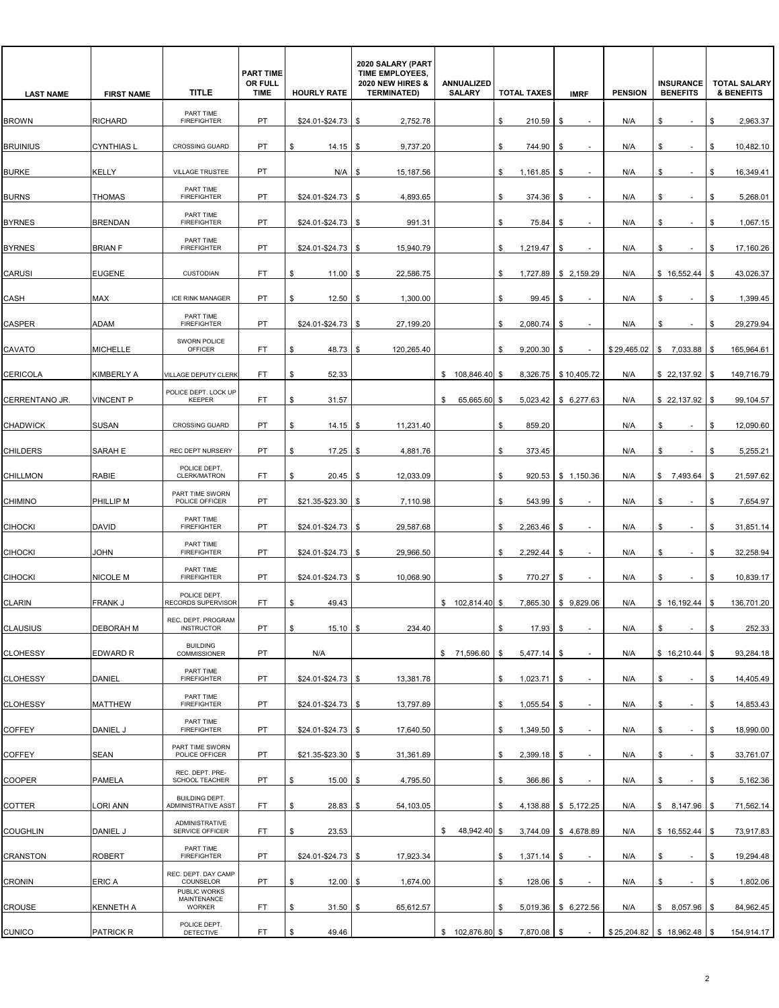| <b>LAST NAME</b> | <b>FIRST NAME</b> | <b>TITLE</b>                                 | <b>PART TIME</b><br>OR FULL<br><b>TIME</b> | <b>HOURLY RATE</b>   | 2020 SALARY (PART<br>TIME EMPLOYEES,<br><b>2020 NEW HIRES &amp;</b><br><b>TERMINATED)</b> | ANNUALIZED<br><b>SALARY</b> | <b>TOTAL TAXES</b>  | <b>IMRF</b>                    | <b>PENSION</b> | <b>INSURANCE</b><br><b>BENEFITS</b> | <b>TOTAL SALARY</b><br><b>&amp; BENEFITS</b> |
|------------------|-------------------|----------------------------------------------|--------------------------------------------|----------------------|-------------------------------------------------------------------------------------------|-----------------------------|---------------------|--------------------------------|----------------|-------------------------------------|----------------------------------------------|
| <b>BROWN</b>     | <b>RICHARD</b>    | PART TIME<br><b>FIREFIGHTER</b>              | <b>PT</b>                                  | $$24.01 - $24.73$ \$ | 2,752.78                                                                                  |                             | \$<br>210.59        | \$                             | N/A            | \$                                  | \$<br>2,963.37                               |
| <b>BRUINIUS</b>  | <b>CYNTHIAS L</b> | <b>CROSSING GUARD</b>                        | PT                                         | \$<br>14.15          | 9,737.20<br>-\$                                                                           |                             | \$<br>744.90        | \$                             | N/A            | \$<br>$\sim$                        | \$<br>10,482.10                              |
| <b>BURKE</b>     | <b>KELLY</b>      | VILLAGE TRUSTEE                              | PT                                         | N/A                  | 15,187.56<br>\$                                                                           |                             | \$<br>1,161.85      | \$                             | N/A            | \$                                  | 16,349.41<br>\$                              |
| <b>BURNS</b>     | <b>THOMAS</b>     | PART TIME<br><b>FIREFIGHTER</b>              | PT                                         | $$24.01 - $24.73$ \$ | 4,893.65                                                                                  |                             | \$<br>374.36        | \$                             | N/A            | \$<br>$\overline{\phantom{a}}$      | 5,268.01<br>\$                               |
| <b>BYRNES</b>    | <b>BRENDAN</b>    | PART TIME<br><b>FIREFIGHTER</b>              | PT                                         | $$24.01 - $24.73$ \$ | 991.31                                                                                    |                             | \$<br>75.84         | \$<br>$\overline{\phantom{a}}$ | N/A            | \$<br>$\overline{\phantom{a}}$      | \$<br>1,067.15                               |
| <b>BYRNES</b>    | <b>BRIAN F</b>    | PART TIME<br><b>FIREFIGHTER</b>              | PT                                         | \$24.01-\$24.73      | 15,940.79<br>S.                                                                           |                             | 1,219.47<br>\$      | \$                             | N/A            | \$                                  | 17,160.26<br>\$                              |
| <b>CARUSI</b>    | EUGENE            | <b>CUSTODIAN</b>                             | FT.                                        | 11.00<br>\$          | 22,586.75<br>\$                                                                           |                             | \$                  | 1,727.89   \$2,159.29          | N/A            | \$16,552.44                         | 43,026.37<br>\$                              |
| CASH             | MAX               | <b>ICE RINK MANAGER</b>                      | PT                                         | 12.50<br>\$          | 1,300.00<br>l \$                                                                          |                             | \$<br>99.45         | \$                             | N/A            | \$                                  | 1,399.45<br>\$                               |
| <b>CASPER</b>    | ADAM              | PART TIME<br><b>FIREFIGHTER</b>              | PT                                         | \$24.01-\$24.73      | 27,199.20<br>\$                                                                           |                             | \$<br>2,080.74      | \$                             | N/A            | \$                                  | \$<br>29,279.94                              |
| CAVATO           | MICHELLE          | SWORN POLICE<br>OFFICER                      | FT.                                        | 48.73<br>\$          | 120,265.40<br>S.                                                                          |                             | 9,200.30<br>\$      | \$                             |                | $$29,465.02$ $$7,033.88$            | 165,964.61<br>\$                             |
| <b>CERICOLA</b>  | <b>KIMBERLY A</b> | VILLAGE DEPUTY CLERK                         | FT                                         | 52.33<br>\$          |                                                                                           | \$108,846.40]               | -\$                 | 8,326.75 \$10,405.72           | N/A            | $$22,137.92$ \\$                    | 149,716.79                                   |
| CERRENTANO JR.   | <b>VINCENT P</b>  | POLICE DEPT. LOCK UP<br><b>KEEPER</b>        | FT.                                        | \$<br>31.57          |                                                                                           | \$<br>65,665.60             | \$<br>5,023.42      | \$6.277.63                     | N/A            | \$22,137.92                         | \$<br>99,104.57                              |
| <b>CHADWICK</b>  | <b>SUSAN</b>      | <b>CROSSING GUARD</b>                        | PT                                         | \$<br>14.15          | 11,231.40<br>-\$                                                                          |                             | \$<br>859.20        |                                | N/A            | \$<br>$\sim$                        | \$<br>12,090.60                              |
| <b>CHILDERS</b>  | SARAH E           | <b>REC DEPT NURSERY</b>                      | PT                                         | 17.25<br>\$          | 4,881.76<br>\$                                                                            |                             | \$<br>373.45        |                                | N/A            | \$<br>$\sim$                        | 5,255.21<br>\$                               |
| <b>CHILLMON</b>  | <b>RABIE</b>      | POLICE DEPT.<br>CLERK/MATRON                 | FT.                                        | \$<br>$20.45$ \$     | 12,033.09                                                                                 |                             | \$<br>920.53        | \$1,150.36                     | N/A            | \$7,493.64                          | \$<br>21,597.62                              |
| <b>CHIMINO</b>   | PHILLIP M         | PART TIME SWORN<br>POLICE OFFICER            | PT                                         | $$21.35 - $23.30$ \$ | 7,110.98                                                                                  |                             | \$<br>543.99        | \$                             | N/A            | \$                                  | \$<br>7,654.97                               |
| <b>CIHOCKI</b>   | <b>DAVID</b>      | PART TIME<br><b>FIREFIGHTER</b>              | PT                                         | $$24.01 - $24.73$ \$ | 29,587.68                                                                                 |                             | 2,263.46<br>\$      | \$                             | N/A            | \$<br>$\blacksquare$                | 31,851.14<br>\$                              |
| <b>CIHOCKI</b>   | JOHN              | PART TIME<br><b>FIREFIGHTER</b>              | PT                                         | $$24.01 - $24.73$ \$ | 29,966.50                                                                                 |                             | \$<br>2.292.44      | \$<br>$\sim$                   | N/A            | \$<br>$\overline{\phantom{a}}$      | 32,258.94<br>\$                              |
| <b>CIHOCKI</b>   | NICOLE M          | PART TIME<br><b>FIREFIGHTER</b>              | PT                                         | \$24.01-\$24.73      | 10,068.90<br>\$                                                                           |                             | 770.27<br>\$        | \$                             | N/A            | \$                                  | 10,839.17<br>S                               |
| <b>CLARIN</b>    | <b>FRANK J</b>    | POLICE DEPT.<br>RECORDS SUPERVISOR           | FT.                                        | 49.43<br>\$          |                                                                                           | $$102,814.40$ \$            |                     | 7,865.30 \$9,829.06            | N/A            | \$16,192.44                         | \$<br>136,701.20                             |
| <b>CLAUSIUS</b>  | DEBORAH M         | REC. DEPT. PROGRAM<br><b>INSTRUCTOR</b>      | PT                                         | $15.10$ \$<br>\$     | 234.40                                                                                    |                             | 17.93<br>\$         | \$<br>$\sim$                   | N/A            | \$<br>$\sim$                        | 252.33<br>\$                                 |
| <b>CLOHESSY</b>  | EDWARD R          | <b>BUILDING</b><br><b>COMMISSIONER</b>       | PT                                         | N/A                  |                                                                                           | \$ 71,596.60                | 5,477.14<br>\$      | \$                             | N/A            | \$16,210.44                         | 93,284.18<br>\$                              |
| <b>CLOHESSY</b>  | DANIEL            | PART TIME<br><b>FIREFIGHTER</b>              | PT                                         | $$24.01 - $24.73$ \$ | 13,381.78                                                                                 |                             | \$<br>$1,023.71$ \$ |                                | N/A            | \$<br>$\blacksquare$                | 14,405.49<br>\$                              |
| <b>CLOHESSY</b>  | <b>MATTHEW</b>    | PART TIME<br><b>FIREFIGHTER</b>              | PT                                         | $$24.01 - $24.73$ \$ | 13,797.89                                                                                 |                             | \$<br>1,055.54      | \$<br>$\overline{\phantom{a}}$ | N/A            | \$<br>$\sim$                        | 14,853.43<br>\$                              |
| <b>COFFEY</b>    | DANIEL J          | PART TIME<br><b>FIREFIGHTER</b>              | PT                                         | $$24.01 - $24.73$ \$ | 17,640.50                                                                                 |                             | 1,349.50<br>\$      | \$                             | N/A            | \$<br>$\overline{\phantom{a}}$      | 18,990.00<br>\$                              |
| <b>COFFEY</b>    | <b>SEAN</b>       | PART TIME SWORN<br>POLICE OFFICER            | PT                                         | $$21.35 - $23.30$ \$ | 31,361.89                                                                                 |                             | 2,399.18<br>\$      | - \$                           | N/A            | \$<br>$\overline{\phantom{a}}$      | \$<br>33,761.07                              |
| COOPER           | <b>PAMELA</b>     | REC. DEPT. PRE-<br>SCHOOL TEACHER            | PT                                         | \$<br>$15.00$ \$     | 4,795.50                                                                                  |                             | \$<br>366.86        | \$<br>$\overline{\phantom{a}}$ | N/A            | \$<br>$\sim$                        | 5,162.36<br>\$                               |
| COTTER           | LORI ANN          | <b>BUILDING DEPT.</b><br>ADMINISTRATIVE ASST | FT                                         | 28.83<br>\$          | 54,103.05<br>\$                                                                           |                             | \$                  | 4,138.88 \$ 5,172.25           | N/A            | \$8,147.96                          | 71,562.14<br>\$                              |
| <b>COUGHLIN</b>  | DANIEL J          | ADMINISTRATIVE<br>SERVICE OFFICER            | FT.                                        | 23.53<br>\$          |                                                                                           | 48,942.40<br>\$             | \$                  | 3,744.09 \$4,678.89            | N/A            | \$16,552.44                         | 73,917.83<br>\$                              |
| CRANSTON         | <b>ROBERT</b>     | PART TIME<br><b>FIREFIGHTER</b>              | PT                                         | $$24.01 - $24.73$ \$ | 17,923.34                                                                                 |                             | \$<br>$1,371.14$ \$ | ٠                              | N/A            | \$<br>$\sim$                        | \$<br>19,294.48                              |
| <b>CRONIN</b>    | <b>ERICA</b>      | REC. DEPT. DAY CAMP<br>COUNSELOR             | PT                                         | $12.00$ \$<br>\$     | 1,674.00                                                                                  |                             | \$<br>128.06        | \$                             | N/A            | \$                                  | 1,802.06<br>\$                               |
| <b>CROUSE</b>    | KENNETH A         | PUBLIC WORKS<br>MAINTENANCE<br><b>WORKER</b> | FT.                                        | $31.50$ \$<br>\$     | 65,612.57                                                                                 |                             | \$                  | 5,019.36 \$ 6,272.56           | N/A            | \$8,057.96                          | 84,962.45<br>- \$                            |
| <b>CUNICO</b>    | PATRICK R         | POLICE DEPT.<br>DETECTIVE                    | FT                                         | 49.46<br>\$          |                                                                                           | $$102,876.80$ \$            | 7,870.08 \$         |                                |                | $$25,204.82$ $$18,962.48$ \ \$      | 154,914.17                                   |
|                  |                   |                                              |                                            |                      |                                                                                           |                             |                     |                                |                |                                     |                                              |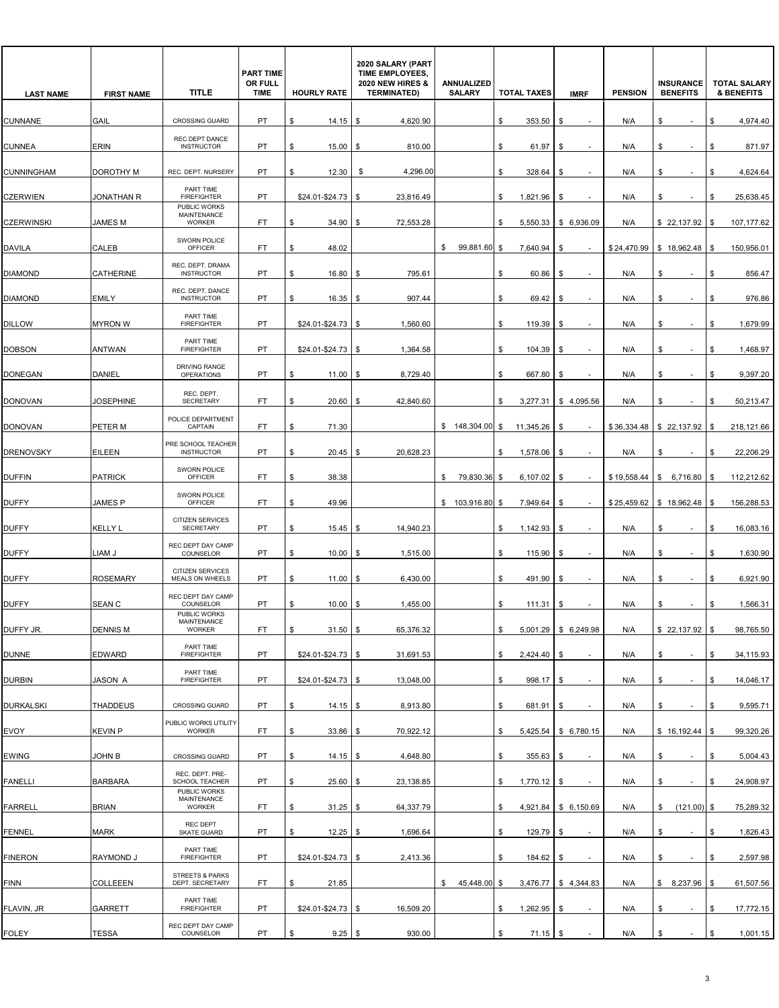| <b>LAST NAME</b>  | <b>FIRST NAME</b> | <b>TITLE</b>                                        | <b>PART TIME</b><br>OR FULL<br><b>TIME</b> | <b>HOURLY RATE</b>   | 2020 SALARY (PART<br>TIME EMPLOYEES,<br><b>2020 NEW HIRES &amp;</b><br><b>TERMINATED)</b> | <b>ANNUALIZED</b><br><b>SALARY</b> | <b>TOTAL TAXES</b>  | <b>IMRF</b>                    | <b>PENSION</b> | <b>INSURANCE</b><br><b>BENEFITS</b> | <b>TOTAL SALARY</b><br><b>&amp; BENEFITS</b> |
|-------------------|-------------------|-----------------------------------------------------|--------------------------------------------|----------------------|-------------------------------------------------------------------------------------------|------------------------------------|---------------------|--------------------------------|----------------|-------------------------------------|----------------------------------------------|
| <b>CUNNANE</b>    | GAIL              | <b>CROSSING GUARD</b>                               | <b>PT</b>                                  | \$<br>14.15          | 4,620.90<br>S.                                                                            |                                    | \$<br>353.50        | \$                             | N/A            | \$                                  | \$<br>4,974.40                               |
| <b>CUNNEA</b>     | ERIN              | REC DEPT DANCE<br><b>INSTRUCTOR</b>                 | PT                                         | 15.00<br>\$          | 810.00<br><b>S</b>                                                                        |                                    | \$<br>61.97         | \$                             | N/A            | \$<br>$\overline{\phantom{a}}$      | \$<br>871.97                                 |
| <b>CUNNINGHAM</b> | DOROTHY M         | REC. DEPT. NURSERY                                  | PT                                         | 12.30<br>\$          | 4,296.00<br>S                                                                             |                                    | \$<br>328.64        | \$                             | N/A            | \$                                  | 4,624.64<br>\$                               |
| <b>CZERWIEN</b>   | JONATHAN R        | PART TIME<br><b>FIREFIGHTER</b>                     | <b>PT</b>                                  | \$24.01-\$24.73      | 23,816.49<br>\$                                                                           |                                    | \$<br>1,821.96      | \$                             | N/A            | \$                                  | \$<br>25,638.45                              |
| <b>CZERWINSKI</b> | <b>JAMES M</b>    | PUBLIC WORKS<br><b>MAINTENANCE</b><br><b>WORKER</b> | FT.                                        | \$<br>34.90          | \$<br>72,553.28                                                                           |                                    | \$<br>5,550.33      | \$ 6,936.09                    | N/A            | $$22,137.92$ \$                     | 107,177.62                                   |
| <b>DAVILA</b>     | CALEB             | SWORN POLICE<br><b>OFFICER</b>                      | FT                                         | 48.02<br>\$          |                                                                                           | 99,881.60<br>\$                    | \$<br>7,640.94      | \$                             |                | $$24,470.99$ \ \$ 18,962.48         | 150,956.01<br>\$                             |
| <b>DIAMOND</b>    | <b>CATHERINE</b>  | REC. DEPT. DRAMA<br><b>INSTRUCTOR</b>               | <b>PT</b>                                  | \$<br>16.80          | 795.61<br>-\$                                                                             |                                    | \$<br>60.86         | \$                             | N/A            | \$                                  | \$<br>856.47                                 |
| <b>DIAMOND</b>    | <b>EMILY</b>      | REC. DEPT. DANCE<br><b>INSTRUCTOR</b>               | PT                                         | \$<br>16.35          | 907.44<br>- \$                                                                            |                                    | \$<br>69.42         | \$                             | N/A            | \$<br>$\overline{\phantom{a}}$      | \$<br>976.86                                 |
| <b>DILLOW</b>     | <b>MYRON W</b>    | PART TIME<br><b>FIREFIGHTER</b>                     | PT                                         | \$24.01-\$24.73      | 1,560.60<br>S.                                                                            |                                    | \$<br>119.39        | \$                             | N/A            | \$                                  | 1,679.99<br>\$                               |
| <b>DOBSON</b>     | <b>ANTWAN</b>     | PART TIME<br><b>FIREFIGHTER</b>                     | PT                                         | \$24.01-\$24.73      | 1,364.58<br>l \$                                                                          |                                    | 104.39<br>\$        | \$                             | N/A            | \$<br>$\sim$                        | \$<br>1,468.97                               |
| <b>DONEGAN</b>    | DANIEL            | DRIVING RANGE<br><b>OPERATIONS</b>                  | PT                                         | \$<br>11.00          | 8,729.40<br>-\$                                                                           |                                    | \$<br>667.80        | \$                             | N/A            | \$<br>$\overline{\phantom{a}}$      | 9,397.20<br>\$                               |
| <b>DONOVAN</b>    | <b>JOSEPHINE</b>  | REC. DEPT.<br><b>SECRETARY</b>                      | FT.                                        | 20.60<br>\$          | 42,840.60<br>\$                                                                           |                                    | 3,277.31<br>\$      | \$4,095.56                     | N/A            | \$                                  | 50,213.47<br>\$                              |
| <b>DONOVAN</b>    | PETER M           | POLICE DEPARTMENT<br>CAPTAIN                        | <b>FT</b>                                  | \$<br>71.30          |                                                                                           | \$148,304.00                       | \$<br>11,345.26     | \$                             |                | $$36,334.48$ $$22,137.92$           | \$<br>218,121.66                             |
| <b>DRENOVSKY</b>  | EILEEN            | PRE SCHOOL TEACHER<br><b>INSTRUCTOR</b>             | PT                                         | \$<br>20.45          | 20,628.23<br>-\$                                                                          |                                    | \$<br>1,578.06      | \$<br>$\overline{\phantom{a}}$ | N/A            | \$<br>$\sim$                        | 22,206.29<br>\$                              |
| <b>DUFFIN</b>     | <b>PATRICK</b>    | SWORN POLICE<br>OFFICER                             | FT                                         | 38.38<br>\$          |                                                                                           | 79,830.36<br>\$                    | 6,107.02<br>\$      | \$                             | \$19,558.44    | S,<br>6,716.80                      | 112,212.62<br>\$                             |
| <b>DUFFY</b>      | JAMES P           | SWORN POLICE<br><b>OFFICER</b>                      | <b>FT</b>                                  | \$<br>49.96          |                                                                                           | \$ 103,916.80                      | \$<br>7,949.64      | \$                             |                | $$25,459.62$ \ \$ 18,962.48         | \$<br>156,288.53                             |
| <b>DUFFY</b>      | <b>KELLY L</b>    | <b>CITIZEN SERVICES</b><br>SECRETARY                | PT                                         | $15.45$ \$<br>\$     | 14,940.23                                                                                 |                                    | \$<br>1,142.93      | \$                             | N/A            | \$                                  | 16,083.16<br>\$                              |
| <b>DUFFY</b>      | LIAM J            | REC DEPT DAY CAMP<br>COUNSELOR                      | PT                                         | 10.00<br>\$          | 1,515.00<br>\$                                                                            |                                    | 115.90<br>\$        | \$                             | N/A            | \$                                  | 1,630.90<br>\$                               |
| <b>DUFFY</b>      | <b>ROSEMARY</b>   | CITIZEN SERVICES                                    | PT                                         | \$                   |                                                                                           |                                    |                     |                                |                |                                     | \$                                           |
|                   |                   | MEALS ON WHEELS<br>REC DEPT DAY CAMP                |                                            | 11.00                | 6,430.00<br>l \$                                                                          |                                    | \$<br>491.90        | \$                             | N/A            | \$                                  | 6,921.90                                     |
| <b>DUFFY</b>      | <b>SEAN C</b>     | COUNSELOR<br>PUBLIC WORKS<br>MAINTENANCE            | PT                                         | 10.00<br>\$          | 1,455.00<br>- \$                                                                          |                                    | \$<br>111.31        | \$                             | N/A            | \$                                  | \$<br>1,566.31                               |
| DUFFY JR.         | <b>DENNIS M</b>   | WORKER<br>PART TIME                                 | FT.                                        | $31.50$ \$<br>\$     | 65,376.32                                                                                 |                                    | \$                  | 5,001.29 \$ 6,249.98           | N/A            | $$22,137.92$ \\$                    | 98,765.50                                    |
| <b>DUNNE</b>      | <b>EDWARD</b>     | <b>FIREFIGHTER</b><br>PART TIME                     | PT                                         | $$24.01 - $24.73$ \$ | 31,691.53                                                                                 |                                    | 2,424.40 \$<br>\$   |                                | N/A            | \$<br>$\overline{\phantom{a}}$      | \$<br>34,115.93                              |
| <b>DURBIN</b>     | <b>JASON A</b>    | <b>FIREFIGHTER</b>                                  | PT                                         | $$24.01 - $24.73$ \$ | 13,048.00                                                                                 |                                    | \$<br>998.17        | \$                             | N/A            | \$<br>$\overline{\phantom{a}}$      | \$<br>14,046.17                              |
| <b>DURKALSKI</b>  | <b>THADDEUS</b>   | CROSSING GUARD<br>PUBLIC WORKS UTILITY              | PT                                         | \$<br>$14.15$ \$     | 8,913.80                                                                                  |                                    | \$<br>681.91        | \$<br>$\overline{\phantom{a}}$ | N/A            | \$<br>$\sim$                        | \$<br>9,595.71                               |
| <b>EVOY</b>       | <b>KEVIN P</b>    | <b>WORKER</b>                                       | FT                                         | $33.86$ \$<br>\$     | 70,922.12                                                                                 |                                    | \$                  | 5,425.54 \$ 6,780.15           | N/A            | \$16,192.44                         | 99,320.26<br>\$                              |
| <b>EWING</b>      | JOHN B            | <b>CROSSING GUARD</b><br>REC. DEPT. PRE-            | PT                                         | \$<br>$14.15$ \$     | 4,648.80                                                                                  |                                    | \$<br>$355.63$ \$   |                                | N/A            | \$<br>$\sim$                        | \$<br>5,004.43                               |
| <b>FANELLI</b>    | <b>BARBARA</b>    | SCHOOL TEACHER<br>PUBLIC WORKS<br>MAINTENANCE       | PT                                         | \$<br>$25.60$ \$     | 23,138.85                                                                                 |                                    | \$<br>$1,770.12$ \$ | $\sim$                         | N/A            | \$<br>$\sim$                        | 24,908.97<br>\$                              |
| <b>FARRELL</b>    | <b>BRIAN</b>      | WORKER<br>REC DEPT                                  | FT.                                        | $31.25$ \$<br>\$     | 64,337.79                                                                                 |                                    | \$                  | 4,921.84 \$ 6,150.69           | N/A            | $(121.00)$ \$<br>\$                 | 75,289.32                                    |
| <b>FENNEL</b>     | <b>MARK</b>       | SKATE GUARD<br>PART TIME                            | PT                                         | \$<br>$12.25$ \$     | 1,696.64                                                                                  |                                    | \$<br>129.79        | \$                             | N/A            | \$<br>$\sim$                        | \$<br>1,826.43                               |
| <b>FINERON</b>    | RAYMOND J         | <b>FIREFIGHTER</b><br><b>STREETS &amp; PARKS</b>    | PT                                         | $$24.01 - $24.73$ \$ | 2,413.36                                                                                  |                                    | \$<br>184.62        | \$<br>$\sim$                   | N/A            | \$<br>$\sim$                        | 2,597.98<br>\$                               |
| <b>FINN</b>       | COLLEEEN          | DEPT. SECRETARY<br>PART TIME                        | FT.                                        | \$<br>21.85          |                                                                                           | 45,448.00<br>\$                    | \$<br>3,476.77      | \$4,344.83                     | N/A            | \$8,237.96                          | 61,507.56                                    |
| FLAVIN, JR        | <b>GARRETT</b>    | <b>FIREFIGHTER</b>                                  | PT                                         | $$24.01 - $24.73$ \$ | 16,509.20                                                                                 |                                    | 1,262.95<br>\$      | \$                             | N/A            | \$<br>$\sim$                        | \$<br>17,772.15                              |
| <b>FOLEY</b>      | <b>TESSA</b>      | REC DEPT DAY CAMP<br>COUNSELOR                      | PT                                         | $9.25$ \$<br>\$      | 930.00                                                                                    |                                    | \$<br>$71.15$ \$    |                                | N/A            | \$                                  | \$<br>1,001.15                               |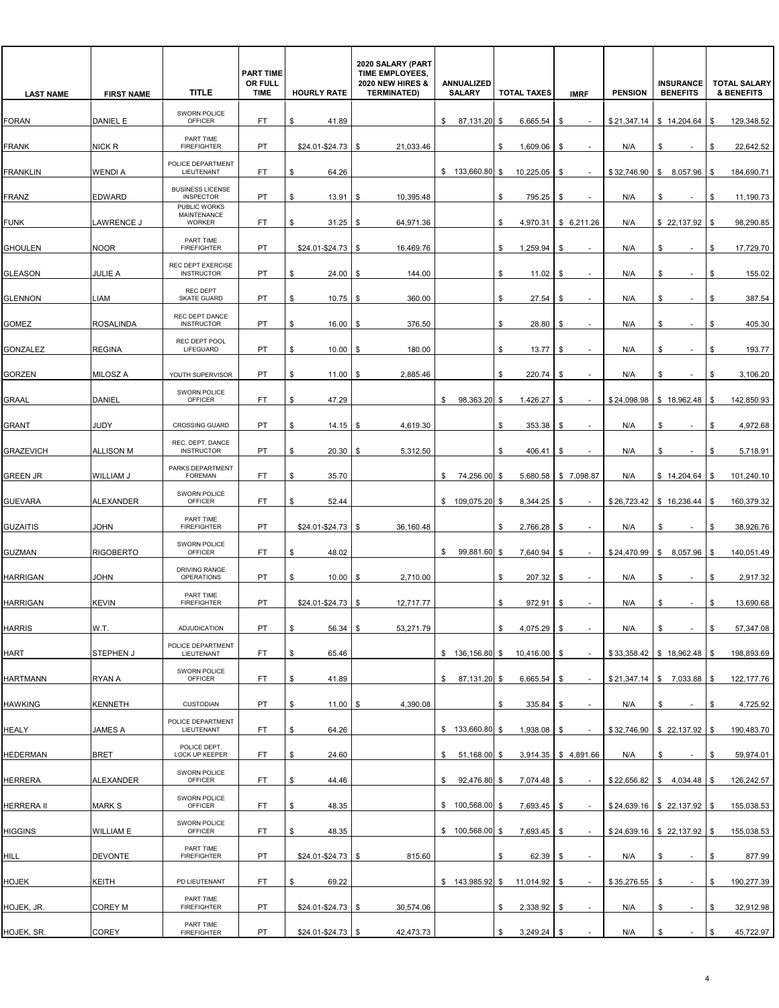| <b>LAST NAME</b>  | <b>FIRST NAME</b> | <b>TITLE</b>                                        | <b>PART TIME</b><br>OR FULL<br><b>TIME</b> | <b>HOURLY RATE</b>   | 2020 SALARY (PART<br>TIME EMPLOYEES,<br><b>2020 NEW HIRES &amp;</b><br><b>TERMINATED)</b> | <b>ANNUALIZED</b><br><b>SALARY</b> | <b>TOTAL TAXES</b>  | <b>IMRF</b>                    | <b>PENSION</b> | <b>INSURANCE</b><br><b>BENEFITS</b> | <b>TOTAL SALARY</b><br><b>&amp; BENEFITS</b> |
|-------------------|-------------------|-----------------------------------------------------|--------------------------------------------|----------------------|-------------------------------------------------------------------------------------------|------------------------------------|---------------------|--------------------------------|----------------|-------------------------------------|----------------------------------------------|
| <b>FORAN</b>      | DANIEL E          | SWORN POLICE<br><b>OFFICER</b>                      | FT.                                        | \$<br>41.89          |                                                                                           | \$<br>87,131.20 \$                 | 6,665.54            | \$                             | \$21,347.14    | \$14,204.64                         | \$<br>129,348.52                             |
| <b>FRANK</b>      | NICK R            | PART TIME<br><b>FIREFIGHTER</b>                     | PT                                         | \$24.01-\$24.73      | 21,033.46<br>\$                                                                           |                                    | 1,609.06<br>\$      | \$<br>$\blacksquare$           | N/A            | \$                                  | 22,642.52<br>\$                              |
| <b>FRANKLIN</b>   | <b>WENDIA</b>     | POLICE DEPARTMENT<br>LIEUTENANT                     | FT                                         | 64.26<br>\$          |                                                                                           | \$133,660.80                       | 10,225.05<br>\$     | \$                             | \$32,746.90    | 8,057.96<br>\$                      | 184,690.71<br>\$                             |
| <b>FRANZ</b>      | <b>EDWARD</b>     | <b>BUSINESS LICENSE</b><br><b>INSPECTOR</b>         | <b>PT</b>                                  | \$<br>13.91          | 10,395.48<br>\$                                                                           |                                    | \$<br>795.25        | \$                             | N/A            | \$                                  | 11,190.73<br>\$                              |
| <b>FUNK</b>       | LAWRENCE J        | PUBLIC WORKS<br><b>MAINTENANCE</b><br><b>WORKER</b> | FT.                                        | \$<br>31.25          | \$<br>64,971.36                                                                           |                                    | \$<br>4,970.31      | \$6,211.26                     | N/A            | \$22,137.92                         | \$<br>98,290.85                              |
| <b>GHOULEN</b>    | <b>NOOR</b>       | PART TIME<br><b>FIREFIGHTER</b>                     | PT                                         | \$24.01-\$24.73      | 16,469.76<br>\$                                                                           |                                    | 1,259.94<br>\$      | \$                             | N/A            | \$                                  | 17,729.70<br>\$                              |
| <b>GLEASON</b>    | <b>JULIE A</b>    | REC DEPT EXERCISE<br><b>INSTRUCTOR</b>              | <b>PT</b>                                  | 24.00<br>\$          | 144.00<br>\$                                                                              |                                    | \$<br>11.02         | \$                             | N/A            | \$                                  | \$<br>155.02                                 |
| <b>GLENNON</b>    | <b>LIAM</b>       | <b>REC DEPT</b><br><b>SKATE GUARD</b>               | <b>PT</b>                                  | \$<br>10.75          | 360.00<br>- \$                                                                            |                                    | \$<br>27.54         | \$<br>$\overline{\phantom{a}}$ | N/A            | \$<br>٠                             | \$<br>387.54                                 |
| GOMEZ             | <b>ROSALINDA</b>  | REC DEPT DANCE<br><b>INSTRUCTOR</b>                 | PT                                         | 16.00<br>\$          | 376.50<br>\$.                                                                             |                                    | \$<br>28.80         | S.                             | N/A            | \$                                  | 405.30<br>\$                                 |
| GONZALEZ          | <b>REGINA</b>     | REC DEPT POOL<br>LIFEGUARD                          | PT                                         | 10.00<br>\$          | 180.00<br>\$                                                                              |                                    | \$<br>13.77         | \$                             | N/A            | \$<br>٠                             | \$<br>193.77                                 |
| <b>GORZEN</b>     | MILOSZ A          | YOUTH SUPERVISOR                                    | PT                                         | \$<br>11.00          | 2,885.46<br>\$                                                                            |                                    | \$<br>220.74        | \$<br>$\overline{\phantom{a}}$ | N/A            | \$<br>$\overline{\phantom{a}}$      | \$<br>3,106.20                               |
| <b>GRAAL</b>      | <b>DANIEL</b>     | SWORN POLICE<br><b>OFFICER</b>                      | FT                                         | \$<br>47.29          |                                                                                           | \$<br>98,363.20 \$                 | 1,426.27            | \$                             | \$24,098.98    | \$18,962.48                         | \$<br>142.850.93                             |
| <b>GRANT</b>      | JUDY              | <b>CROSSING GUARD</b>                               | <b>PT</b>                                  | \$<br>14.15          | 4,619.30<br>- \$                                                                          |                                    | 353.38<br>\$        | \$                             | N/A            | \$<br>$\sim$                        | \$<br>4,972.68                               |
| <b>GRAZEVICH</b>  | <b>ALLISON M</b>  | REC. DEPT. DANCE<br><b>INSTRUCTOR</b>               | PT                                         | 20.30<br>\$          | 5,312.50<br>S                                                                             |                                    | \$<br>406.41        | \$                             | N/A            | \$                                  | \$<br>5,718.91                               |
| <b>GREEN JR</b>   | WILLIAM J         | PARKS DEPARTMENT<br><b>FOREMAN</b>                  | FT.                                        | \$<br>35.70          |                                                                                           | 74,256.00<br>\$                    | \$<br>5,680.58      | \$7,098.87                     | N/A            | \$14,204.64                         | \$<br>101,240.10                             |
| <b>GUEVARA</b>    | <b>ALEXANDER</b>  | SWORN POLICE<br>OFFICER                             | FT.                                        | 52.44<br>\$          |                                                                                           | \$ 109,075.20                      | 8,344.25<br>\$      | \$                             | \$26,723.42    | \$16,236.44                         | 160,379.32<br>\$                             |
| <b>GUZAITIS</b>   | JOHN              | PART TIME<br><b>FIREFIGHTER</b>                     | PT                                         | \$24.01-\$24.73      | 36,160.48<br>\$                                                                           |                                    | 2,766.28<br>\$      | \$                             | N/A            | \$                                  | 38,926.76<br>\$                              |
| <b>GUZMAN</b>     | <b>RIGOBERTO</b>  | SWORN POLICE<br>OFFICER                             | FT.                                        | 48.02<br>\$          |                                                                                           | 99,881.60 \$<br>\$                 | 7,640.94            | \$                             | \$24,470.99    | \$ 8.057.96                         | \$<br>140,051.49                             |
| <b>HARRIGAN</b>   | JOHN              | DRIVING RANGE<br><b>OPERATIONS</b>                  | PT                                         | \$<br>10.00          | 2,710.00<br>\$                                                                            |                                    | \$<br>207.32        | \$                             | N/A            | \$                                  | \$<br>2,917.32                               |
| <b>HARRIGAN</b>   | <b>KEVIN</b>      | PART TIME<br><b>FIREFIGHTER</b>                     | PT                                         | \$24.01-\$24.73      | 12,717.77<br>\$                                                                           |                                    | 972.91<br>\$        | \$                             | N/A            | \$                                  | \$<br>13,690.68                              |
| <b>HARRIS</b>     | W.T.              | ADJUDICATION                                        | PT                                         | 56.34<br>\$          | 53,271.79<br><b>\$</b>                                                                    |                                    | $4,075.29$ \$<br>\$ | $\overline{\phantom{a}}$       | N/A            | \$<br>$\sim$                        | 57,347.08<br>\$                              |
| <b>HART</b>       | STEPHEN J         | POLICE DEPARTMENT<br>LIEUTENANT                     | FT                                         | \$<br>65.46          |                                                                                           | $$136,156.80$ \$                   | 10,416.00           | \$                             |                | $$33,358.42$ \ \$ 18,962.48         | \$<br>198,893.69                             |
| <b>HARTMANN</b>   | RYAN A            | SWORN POLICE<br>OFFICER                             | FT                                         | 41.89<br>\$          |                                                                                           | \$<br>87,131.20 \$                 | 6,665.54            | - \$                           |                | $$21,347.14$ $$7,033.88$            | 122, 177.76<br>\$                            |
| <b>HAWKING</b>    | <b>KENNETH</b>    | <b>CUSTODIAN</b>                                    | PT                                         | 11.00<br>\$          | 4,390.08<br>- \$                                                                          |                                    | 335.84<br>\$        | \$<br>$\sim$                   | N/A            | \$<br>$\sim$                        | 4,725.92<br>\$                               |
| <b>HEALY</b>      | <b>JAMES A</b>    | POLICE DEPARTMENT<br>LIEUTENANT                     | FT                                         | 64.26<br>\$          |                                                                                           | $$133,660.80$ \$                   | 1,938.08            | \$                             |                | \$32,746.90 \$22,137.92             | 190,483.70<br>\$                             |
| <b>HEDERMAN</b>   | <b>BRET</b>       | POLICE DEPT.<br>LOCK UP KEEPER                      | FT.                                        | \$<br>24.60          |                                                                                           | \$<br>51,168.00 \$                 |                     | $3,914.35$ \$ 4,891.66         | N/A            | \$<br>$\blacksquare$                | \$<br>59,974.01                              |
| <b>HERRERA</b>    | <b>ALEXANDER</b>  | SWORN POLICE<br>OFFICER                             | FT.                                        | 44.46<br>\$          |                                                                                           | 92,476.80 \$<br>\$                 | 7,074.48 \$         |                                |                | $$22,656.82$ \ \$ 4,034.48          | 126,242.57<br>\$                             |
| <b>HERRERA II</b> | <b>MARK S</b>     | SWORN POLICE<br>OFFICER                             | FT                                         | 48.35<br>\$          |                                                                                           | $$100,568.00$ \$                   | 7,693.45            | \$                             |                | $$24,639.16$ \ \$ 22,137.92         | 155,038.53<br>\$                             |
| <b>HIGGINS</b>    | <b>WILLIAM E</b>  | SWORN POLICE<br>OFFICER                             | FT.                                        | \$<br>48.35          |                                                                                           | $$100,568.00$ \$                   | 7,693.45            | \$                             |                | $$24,639.16$ $$22,137.92$           | \$<br>155,038.53                             |
| HILL              | <b>DEVONTE</b>    | PART TIME<br><b>FIREFIGHTER</b>                     | PT                                         | \$24.01-\$24.73      | 815.60<br>l \$                                                                            |                                    | \$<br>62.39         | \$<br>$\overline{\phantom{a}}$ | N/A            | \$<br>$\overline{\phantom{a}}$      | \$<br>877.99                                 |
| <b>HOJEK</b>      | KEITH             | PD LIEUTENANT                                       | FT                                         | 69.22<br>\$          |                                                                                           | $$143,985.92$ \$                   | 11,014.92           | \$                             | \$35,276.55    | \$                                  | 190,277.39<br>\$                             |
| HOJEK, JR.        | <b>COREY M</b>    | PART TIME<br><b>FIREFIGHTER</b>                     | PT                                         | $$24.01 - $24.73$ \$ | 30,574.06                                                                                 |                                    | 2,338.92<br>\$      | \$                             | N/A            | \$                                  | \$<br>32,912.98                              |
| HOJEK, SR.        | COREY             | PART TIME<br><b>FIREFIGHTER</b>                     | PT                                         | $$24.01 - $24.73$ \$ | 42,473.73                                                                                 |                                    | $3,249.24$ \$<br>\$ |                                | N/A            | \$<br>$\sim$                        | \$<br>45,722.97                              |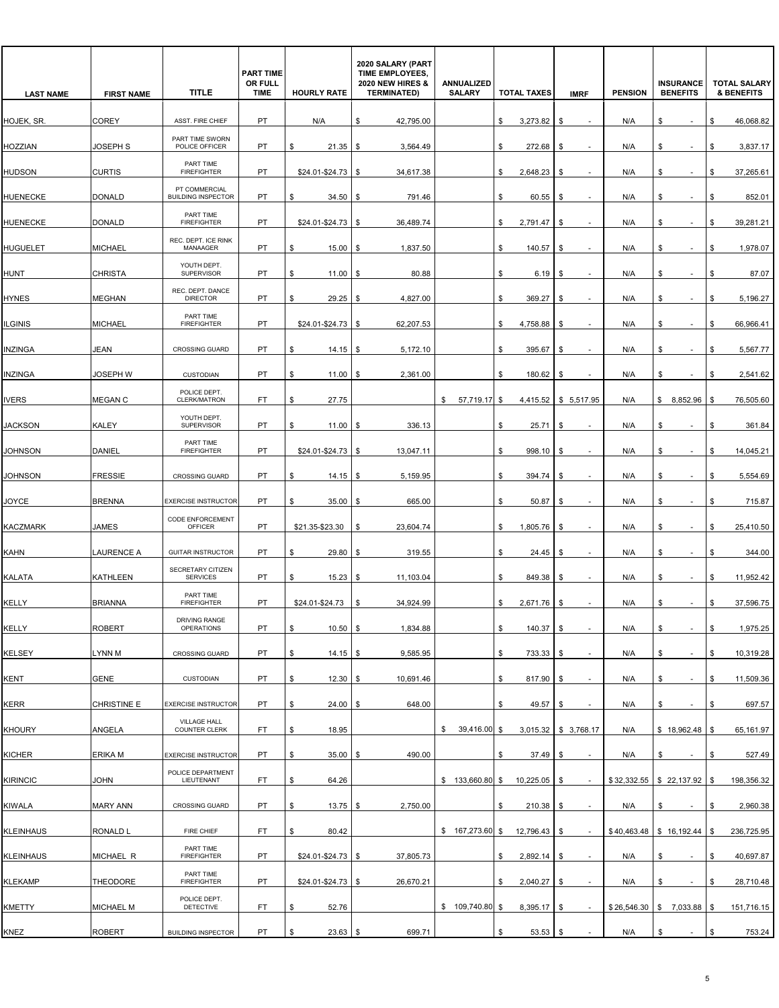| <b>LAST NAME</b> | <b>FIRST NAME</b>  | <b>TITLE</b>                               | <b>PART TIME</b><br>OR FULL<br><b>TIME</b> | <b>HOURLY RATE</b>   | 2020 SALARY (PART<br>TIME EMPLOYEES,<br><b>2020 NEW HIRES &amp;</b><br><b>TERMINATED)</b> | ANNUALIZED<br><b>SALARY</b> | <b>TOTAL TAXES</b> | <b>IMRF</b>                    | <b>PENSION</b> | <b>INSURANCE</b><br><b>BENEFITS</b> | <b>TOTAL SALARY</b><br><b>&amp; BENEFITS</b> |
|------------------|--------------------|--------------------------------------------|--------------------------------------------|----------------------|-------------------------------------------------------------------------------------------|-----------------------------|--------------------|--------------------------------|----------------|-------------------------------------|----------------------------------------------|
| HOJEK, SR.       | <b>COREY</b>       | ASST. FIRE CHIEF                           | PT.                                        | N/A                  | \$<br>42,795.00                                                                           |                             | \$<br>3,273.82     | \$                             | N/A            | \$<br>$\sim$                        | \$<br>46,068.82                              |
| <b>HOZZIAN</b>   | JOSEPH S           | PART TIME SWORN<br>POLICE OFFICER          | PT                                         | 21.35<br>\$          | 3,564.49<br>\$                                                                            |                             | \$<br>272.68       | \$<br>$\overline{\phantom{a}}$ | N/A            | \$<br>$\sim$                        | \$<br>3,837.17                               |
| <b>HUDSON</b>    | <b>CURTIS</b>      | PART TIME<br><b>FIREFIGHTER</b>            | PT                                         | \$24.01-\$24.73      | 34,617.38<br>\$                                                                           |                             | 2,648.23<br>\$     | \$                             | N/A            | \$                                  | 37,265.61<br>\$                              |
| <b>HUENECKE</b>  | <b>DONALD</b>      | PT COMMERCIAL<br><b>BUILDING INSPECTOR</b> | <b>PT</b>                                  | 34.50<br>\$          | 791.46<br>\$                                                                              |                             | \$<br>60.55        | \$                             | N/A            | \$<br>٠                             | \$<br>852.01                                 |
| <b>HUENECKE</b>  | <b>DONALD</b>      | PART TIME<br><b>FIREFIGHTER</b>            | PT                                         | \$24.01-\$24.73      | <b>S</b><br>36,489.74                                                                     |                             | \$<br>2,791.47     | \$<br>$\overline{\phantom{a}}$ | N/A            | \$<br>$\overline{\phantom{a}}$      | \$<br>39,281.21                              |
| <b>HUGUELET</b>  | <b>MICHAEL</b>     | REC. DEPT. ICE RINK<br>MANAAGER            | PT                                         | 15.00<br>\$          | 1,837.50<br>\$                                                                            |                             | \$<br>140.57       | \$                             | N/A            | \$                                  | 1,978.07<br>\$                               |
| <b>HUNT</b>      | <b>CHRISTA</b>     | YOUTH DEPT.<br><b>SUPERVISOR</b>           | PT                                         | \$<br>11.00          | 80.88<br>- \$                                                                             |                             | \$<br>6.19         | \$                             | N/A            | \$                                  | \$<br>87.07                                  |
| <b>HYNES</b>     | <b>MEGHAN</b>      | REC. DEPT. DANCE<br><b>DIRECTOR</b>        | <b>PT</b>                                  | \$<br>29.25          | \$<br>4,827.00                                                                            |                             | \$<br>369.27       | \$<br>$\overline{\phantom{a}}$ | N/A            | \$<br>$\overline{\phantom{a}}$      | \$<br>5,196.27                               |
| <b>ILGINIS</b>   | <b>MICHAEL</b>     | PART TIME<br><b>FIREFIGHTER</b>            | PT                                         | \$24.01-\$24.73      | 62,207.53<br>\$                                                                           |                             | 4,758.88<br>\$     | \$                             | N/A            | \$                                  | 66,966.41<br>\$                              |
| <b>INZINGA</b>   | JEAN               | <b>CROSSING GUARD</b>                      | PT                                         | \$<br>14.15          | 5,172.10<br>- \$                                                                          |                             | \$<br>395.67       | \$                             | N/A            | \$<br>$\overline{\phantom{a}}$      | \$<br>5,567.77                               |
| <b>INZINGA</b>   | <b>JOSEPH W</b>    | <b>CUSTODIAN</b>                           | PT                                         | \$<br>11.00          | 2,361.00<br>\$                                                                            |                             | \$<br>180.62       | \$<br>$\overline{\phantom{a}}$ | N/A            | \$<br>$\overline{\phantom{a}}$      | \$<br>2,541.62                               |
| <b>IVERS</b>     | MEGAN C            | POLICE DEPT.<br>CLERK/MATRON               | FT                                         | \$<br>27.75          |                                                                                           | 57,719.17 \$<br>\$          | 4,415.52           | \$5,517.95                     | N/A            | \$<br>8,852.96                      | \$<br>76,505.60                              |
| <b>JACKSON</b>   | <b>KALEY</b>       | YOUTH DEPT.<br>SUPERVISOR                  | PT                                         | \$<br>11.00          | 336.13<br>\$                                                                              |                             | \$<br>25.71        | \$                             | N/A            | \$<br>$\sim$                        | \$<br>361.84                                 |
| <b>JOHNSON</b>   | DANIEL             | PART TIME<br><b>FIREFIGHTER</b>            | PT                                         | \$24.01-\$24.73      | 13,047.11<br>\$                                                                           |                             | \$<br>998.10       | \$                             | N/A            | \$                                  | \$<br>14,045.21                              |
| <b>JOHNSON</b>   | <b>FRESSIE</b>     | CROSSING GUARD                             | PT                                         | \$<br>14.15          | 5,159.95<br>\$                                                                            |                             | \$<br>394.74       | \$<br>÷.                       | N/A            | \$<br>÷,                            | \$<br>5,554.69                               |
| <b>JOYCE</b>     | <b>BRENNA</b>      | <b>EXERCISE INSTRUCTOR</b>                 | PT                                         | 35.00<br>\$          | 665.00<br>\$                                                                              |                             | 50.87<br>\$        | \$<br>$\overline{a}$           | N/A            | \$<br>$\sim$                        | \$<br>715.87                                 |
| <b>KACZMARK</b>  | <b>JAMES</b>       | CODE ENFORCEMENT<br>OFFICER                | PT                                         | \$21.35-\$23.30      | 23,604.74<br>\$                                                                           |                             | 1,805.76<br>\$     | \$                             | N/A            | \$                                  | \$<br>25,410.50                              |
| KAHN             | <b>LAURENCE A</b>  | <b>GUITAR INSTRUCTOR</b>                   | PT                                         | 29.80<br>\$          | 319.55<br>\$                                                                              |                             | \$<br>24.45        | \$<br>÷,                       | N/A            | \$                                  | 344.00<br>\$                                 |
| KALATA           | KATHLEEN           | SECRETARY CITIZEN<br><b>SERVICES</b>       | PT                                         | 15.23<br>\$          | 11,103.04<br>\$                                                                           |                             | \$<br>849.38       | \$<br>$\blacksquare$           | N/A            | \$                                  | \$<br>11,952.42                              |
| KELLY            | <b>BRIANNA</b>     | PART TIME<br><b>FIREFIGHTER</b>            | PT                                         | \$24.01-\$24.73      | 34,924.99<br>\$                                                                           |                             | 2,671.76<br>\$     | \$                             | N/A            | \$                                  | \$<br>37,596.75                              |
| KELLY            | <b>ROBERT</b>      | DRIVING RANGE<br><b>OPERATIONS</b>         | PT                                         | $10.50$ \$<br>\$     | 1,834.88                                                                                  |                             | \$<br>$140.37$ \$  | $\overline{\phantom{a}}$       | N/A            | \$<br>$\sim$                        | 1,975.25<br>\$                               |
| KELSEY           | LYNN M             | <b>CROSSING GUARD</b>                      | PT                                         | \$<br>14.15          | <b>\$</b><br>9,585.95                                                                     |                             | \$<br>733.33 \$    | $\overline{\phantom{a}}$       | N/A            | \$<br>$\sim$                        | 10,319.28<br>\$                              |
| KENT             | <b>GENE</b>        | <b>CUSTODIAN</b>                           | PT                                         | 12.30<br>\$          | 10,691.46<br><b>\$</b>                                                                    |                             | 817.90 \$<br>\$    |                                | N/A            | \$                                  | 11,509.36<br>\$                              |
| <b>KERR</b>      | <b>CHRISTINE E</b> | <b>EXERCISE INSTRUCTOR</b>                 | PT                                         | 24.00<br>\$          | 648.00<br>- \$                                                                            |                             | 49.57<br>\$        | \$<br>$\overline{\phantom{a}}$ | N/A            | \$<br>$\overline{\phantom{a}}$      | 697.57<br>\$                                 |
| <b>KHOURY</b>    | ANGELA             | VILLAGE HALL<br>COUNTER CLERK              | FT                                         | 18.95<br>\$          |                                                                                           | 39,416.00 \$<br>\$          | 3,015.32           | \$3,768.17                     | N/A            | \$18,962.48                         | 65,161.97<br>\$                              |
| <b>KICHER</b>    | ERIKA M            | <b>EXERCISE INSTRUCTOR</b>                 | PT                                         | \$<br>35.00          | 490.00<br>\$                                                                              |                             | \$<br>37.49        | \$                             | N/A            | \$<br>$\blacksquare$                | \$<br>527.49                                 |
| <b>KIRINCIC</b>  | JOHN               | POLICE DEPARTMENT<br>LIEUTENANT            | FT                                         | 64.26<br>\$          |                                                                                           | $$133,660.80$ \$            | $10,225.05$ \$     | $\overline{\phantom{a}}$       |                | $$32,332.55$ $$22,137.92$           | 198,356.32<br>\$                             |
| <b>KIWALA</b>    | <b>MARY ANN</b>    | CROSSING GUARD                             | PT                                         | \$<br>13.75          | 2,750.00<br>-\$                                                                           |                             | 210.38<br>\$       | \$<br>$\overline{\phantom{a}}$ | N/A            | \$                                  | \$<br>2,960.38                               |
| <b>KLEINHAUS</b> | RONALD L           | FIRE CHIEF                                 | FT.                                        | \$<br>80.42          |                                                                                           | $$167,273.60$ \$            | 12,796.43          | \$                             | \$40,463.48    | \$16,192.44                         | 236,725.95<br>\$                             |
| <b>KLEINHAUS</b> | MICHAEL R          | PART TIME<br><b>FIREFIGHTER</b>            | PT                                         | $$24.01 - $24.73$ \$ | 37,805.73                                                                                 |                             | \$<br>2,892.14     | \$<br>$\overline{\phantom{a}}$ | N/A            | \$<br>$\overline{\phantom{a}}$      | \$<br>40,697.87                              |
| <b>KLEKAMP</b>   | THEODORE           | PART TIME<br><b>FIREFIGHTER</b>            | PT                                         | \$24.01-\$24.73      | 26,670.21<br>\$                                                                           |                             | 2,040.27<br>\$     | \$                             | N/A            | \$                                  | 28,710.48<br>\$                              |
| <b>KMETTY</b>    | <b>MICHAEL M</b>   | POLICE DEPT.<br>DETECTIVE                  | FT.                                        | 52.76<br>\$          |                                                                                           | $$109,740.80$ \$            | 8,395.17           | \$                             |                | $$26,546.30$ $$7,033.88$            | \$<br>151,716.15                             |
| KNEZ             | <b>ROBERT</b>      | <b>BUILDING INSPECTOR</b>                  | PT                                         | \$<br>$23.63$ \$     | 699.71                                                                                    |                             | $53.53$ \$<br>\$   |                                | N/A            | \$<br>$\sim$                        | \$<br>753.24                                 |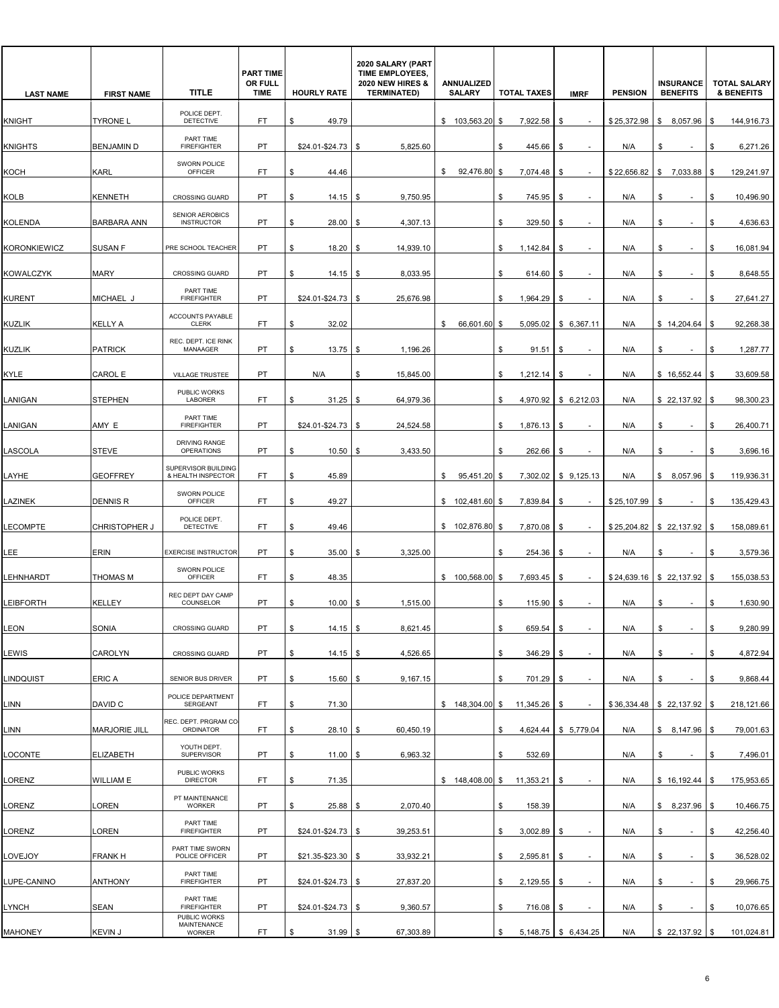| <b>LAST NAME</b>    | <b>FIRST NAME</b>    | <b>TITLE</b>                                 | <b>PART TIME</b><br>OR FULL<br><b>TIME</b> | <b>HOURLY RATE</b>   | 2020 SALARY (PART<br>TIME EMPLOYEES,<br><b>2020 NEW HIRES &amp;</b><br><b>TERMINATED)</b> | ANNUALIZED<br><b>SALARY</b> | <b>TOTAL TAXES</b> | <b>IMRF</b>                    | <b>PENSION</b> | <b>INSURANCE</b><br><b>BENEFITS</b> | <b>TOTAL SALARY</b><br><b>&amp; BENEFITS</b> |
|---------------------|----------------------|----------------------------------------------|--------------------------------------------|----------------------|-------------------------------------------------------------------------------------------|-----------------------------|--------------------|--------------------------------|----------------|-------------------------------------|----------------------------------------------|
| <b>KNIGHT</b>       | <b>TYRONE L</b>      | POLICE DEPT.<br>DETECTIVE                    | FT.                                        | 49.79<br>\$          |                                                                                           | \$103.563.20                | 7,922.58<br>\$     | \$                             | \$25,372.98    | \$ 8,057.96                         | \$<br>144,916.73                             |
| <b>KNIGHTS</b>      | <b>BENJAMIN D</b>    | PART TIME<br><b>FIREFIGHTER</b>              | PT                                         | \$24.01-\$24.73      | 5,825.60<br>-\$                                                                           |                             | \$<br>445.66       | \$<br>$\overline{\phantom{a}}$ | N/A            | \$                                  | 6,271.26<br>\$                               |
| косн                | <b>KARL</b>          | <b>SWORN POLICE</b><br><b>OFFICER</b>        | FT                                         | \$<br>44.46          |                                                                                           | 92,476.80<br>\$             | \$<br>7,074.48     | \$                             | \$22,656.82    | \$<br>7,033.88                      | \$<br>129,241.97                             |
| KOLB                | <b>KENNETH</b>       | <b>CROSSING GUARD</b>                        | <b>PT</b>                                  | \$<br>14.15          | 9,750.95<br>l \$                                                                          |                             | \$<br>745.95       | \$                             | N/A            | \$<br>$\sim$                        | \$<br>10,496.90                              |
| KOLENDA             | <b>BARBARA ANN</b>   | <b>SENIOR AEROBICS</b><br><b>INSTRUCTOR</b>  | PT                                         | 28.00<br>\$          | 4,307.13<br>l \$                                                                          |                             | 329.50<br>\$       | \$<br>$\sim$                   | N/A            | \$<br>٠                             | \$<br>4,636.63                               |
| <b>KORONKIEWICZ</b> | <b>SUSAN F</b>       | PRE SCHOOL TEACHER                           | PT                                         | 18.20<br>\$          | 14,939.10<br>S.                                                                           |                             | 1,142.84<br>\$     | \$.                            | N/A            | \$                                  | 16,081.94<br>\$                              |
| KOWALCZYK           | <b>MARY</b>          | <b>CROSSING GUARD</b>                        | <b>PT</b>                                  | \$<br>14.15          | 8,033.95<br>S.                                                                            |                             | \$<br>614.60       | \$                             | N/A            | \$                                  | \$<br>8,648.55                               |
| <b>KURENT</b>       | MICHAEL J            | PART TIME<br><b>FIREFIGHTER</b>              | PT                                         | $$24.01 - $24.73$ \$ | 25,676.98                                                                                 |                             | \$<br>1,964.29     | \$<br>$\overline{\phantom{a}}$ | N/A            | \$<br>$\sim$                        | 27,641.27<br>\$                              |
| <b>KUZLIK</b>       | <b>KELLY A</b>       | ACCOUNTS PAYABLE<br><b>CLERK</b>             | FT                                         | 32.02<br>\$          |                                                                                           | 66,601.60<br>\$             | \$<br>5,095.02     | \$6,367.11                     | N/A            | \$14,204.64                         | 92,268.38<br>\$                              |
| <b>KUZLIK</b>       | <b>PATRICK</b>       | REC. DEPT. ICE RINK<br>MANAAGER              | <b>PT</b>                                  | \$<br>$13.75$ \$     | 1,196.26                                                                                  |                             | \$<br>91.51        | \$                             | N/A            | \$                                  | \$<br>1,287.77                               |
| KYLE                | CAROL E              | <b>VILLAGE TRUSTEE</b>                       | PT                                         | N/A                  | \$<br>15,845.00                                                                           |                             | \$<br>1,212.14     | \$<br>$\sim$                   | N/A            | \$16,552.44                         | \$<br>33,609.58                              |
| LANIGAN             | <b>STEPHEN</b>       | PUBLIC WORKS<br>LABORER                      | FT                                         | 31.25<br>\$          | 64,979.36<br>\$                                                                           |                             | \$<br>4,970.92     | \$6,212.03                     | N/A            | \$22,137.92                         | 98,300.23<br>\$                              |
| LANIGAN             | AMY E                | PART TIME<br><b>FIREFIGHTER</b>              | PT                                         | \$24.01-\$24.73      | 24,524.58<br>- \$                                                                         |                             | \$<br>1,876.13     | \$                             | N/A            | \$<br>$\overline{\phantom{a}}$      | 26,400.71<br>\$                              |
| LASCOLA             | <b>STEVE</b>         | DRIVING RANGE<br><b>OPERATIONS</b>           | <b>PT</b>                                  | \$<br>10.50          | 3,433.50<br>S                                                                             |                             | \$<br>262.66       | \$                             | N/A            | \$                                  | \$<br>3,696.16                               |
| LAYHE               | <b>GEOFFREY</b>      | SUPERVISOR BUILDING<br>& HEALTH INSPECTOR    | FT.                                        | 45.89<br>\$          |                                                                                           | 95,451.20<br>\$             | \$<br>7,302.02     | \$9,125.13                     | N/A            | \$<br>8,057.96                      | 119,936.31<br>\$                             |
| LAZINEK             | <b>DENNIS R</b>      | SWORN POLICE<br>OFFICER                      | FT                                         | 49.27<br>\$          |                                                                                           | \$102,481.60                | 7,839.84<br>\$     | \$                             | \$25,107.99    | \$                                  | 135,429.43<br>\$                             |
| LECOMPTE            | <b>CHRISTOPHER J</b> | POLICE DEPT.<br><b>DETECTIVE</b>             | FT                                         | \$<br>49.46          |                                                                                           | \$102,876.80                | \$<br>7,870.08     | \$                             |                | \$25,204.82 \$22,137.92             | \$<br>158,089.61                             |
| LEE                 | <b>ERIN</b>          | <b>EXERCISE INSTRUCTOR</b>                   | <b>PT</b>                                  | \$<br>35.00          | 3,325.00<br>S                                                                             |                             | \$<br>254.36       | \$                             | N/A            | \$                                  | \$<br>3,579.36                               |
| LEHNHARDT           | THOMAS M             | SWORN POLICE<br>OFFICER                      | FT                                         | 48.35<br>\$          |                                                                                           | \$100,568.00                | 7,693.45<br>\$     | S                              |                | $$24,639.16$ $$22,137.92$           | 155,038.53<br>\$                             |
| LEIBFORTH           | <b>KELLEY</b>        | REC DEPT DAY CAMP<br>COUNSELOR               | PT                                         | 10.00<br>\$          | 1,515.00<br>- \$                                                                          |                             | 115.90<br>\$       | \$                             | N/A            | \$                                  | 1,630.90<br>\$                               |
| LEON                | SONIA                | CROSSING GUARD                               | PT                                         | \$<br>$14.15$ \$     | 8,621.45                                                                                  |                             | \$<br>659.54       | \$<br>$\overline{\phantom{a}}$ | N/A            | \$<br>$\overline{\phantom{a}}$      | 9,280.99<br>\$                               |
| LEWIS               | CAROLYN              | CROSSING GUARD                               | PT                                         | \$<br>$14.15$ \$     | 4,526.65                                                                                  |                             | \$<br>346.29       | \$<br>$\overline{\phantom{a}}$ | N/A            | \$<br>$\sim$                        | \$<br>4,872.94                               |
| LINDQUIST           | <b>ERICA</b>         | SENIOR BUS DRIVER                            | PT                                         | \$<br>15.60          | 9,167.15<br>\$                                                                            |                             | \$<br>701.29       | \$                             | N/A            | \$<br>٠                             | \$<br>9,868.44                               |
| INN.                | DAVID C              | POLICE DEPARTMENT<br>SERGEANT                | FT                                         | \$<br>71.30          |                                                                                           | $$148,304.00$ \$            | 11,345.26          | \$                             |                | $$36,334.48$ \ \$ 22,137.92 \       | 218,121.66<br>\$                             |
| INN.                | <b>MARJORIE JILL</b> | REC. DEPT. PRGRAM CO<br>ORDINATOR            | FT                                         | \$<br>$28.10$ \$     | 60,450.19                                                                                 |                             | \$<br>4,624.44     | \$5,779.04                     | N/A            | \$8,147.96                          | 79,001.63<br>\$                              |
| LOCONTE             | <b>ELIZABETH</b>     | YOUTH DEPT.<br>SUPERVISOR                    | PT                                         | \$<br>$11.00$ \$     | 6,963.32                                                                                  |                             | 532.69<br>\$       |                                | N/A            | \$<br>÷.                            | \$<br>7,496.01                               |
| LORENZ              | WILLIAM E            | PUBLIC WORKS<br><b>DIRECTOR</b>              | FT                                         | 71.35<br>\$          |                                                                                           | $$148,408.00$ \$            | 11,353.21          | \$<br>$\sim$                   | N/A            | \$16,192.44                         | \$<br>175,953.65                             |
| LORENZ              | LOREN                | PT MAINTENANCE<br><b>WORKER</b>              | PT                                         | \$<br>25.88          | 2,070.40<br>\$                                                                            |                             | \$<br>158.39       |                                | N/A            | \$8,237.96                          | 10,466.75<br>\$                              |
| LORENZ              | LOREN                | PART TIME<br><b>FIREFIGHTER</b>              | PT                                         | $$24.01 - $24.73$ \$ | 39,253.51                                                                                 |                             | \$<br>3,002.89     | \$                             | N/A            | \$<br>$\overline{\phantom{a}}$      | \$<br>42,256.40                              |
| LOVEJOY             | <b>FRANK H</b>       | PART TIME SWORN<br>POLICE OFFICER            | PT                                         | $$21.35 - $23.30$ \$ | 33,932.21                                                                                 |                             | \$<br>2,595.81     | \$<br>$\overline{\phantom{a}}$ | N/A            | \$<br>$\overline{\phantom{a}}$      | 36,528.02<br>\$                              |
| LUPE-CANINO         | <b>ANTHONY</b>       | PART TIME<br><b>FIREFIGHTER</b>              | PT                                         | \$24.01-\$24.73      | 27,837.20<br>  \$                                                                         |                             | 2,129.55<br>\$     | \$<br>$\overline{\phantom{a}}$ | N/A            | \$                                  | 29,966.75<br>\$                              |
| LYNCH               | SEAN                 | PART TIME<br><b>FIREFIGHTER</b>              | <b>PT</b>                                  | $$24.01 - $24.73$ \$ | 9,360.57                                                                                  |                             | \$<br>716.08       | \$                             | N/A            | \$<br>$\overline{\phantom{a}}$      |                                              |
| <b>MAHONEY</b>      | <b>KEVIN J</b>       | PUBLIC WORKS<br>MAINTENANCE<br><b>WORKER</b> | FT.                                        | $31.99$ \$<br>\$     | 67,303.89                                                                                 |                             | \$                 | 5,148.75   \$ 6,434.25         | N/A            | \$22,137.92                         | \$<br>10,076.65<br>\$<br>101,024.81          |
|                     |                      |                                              |                                            |                      |                                                                                           |                             |                    |                                |                |                                     |                                              |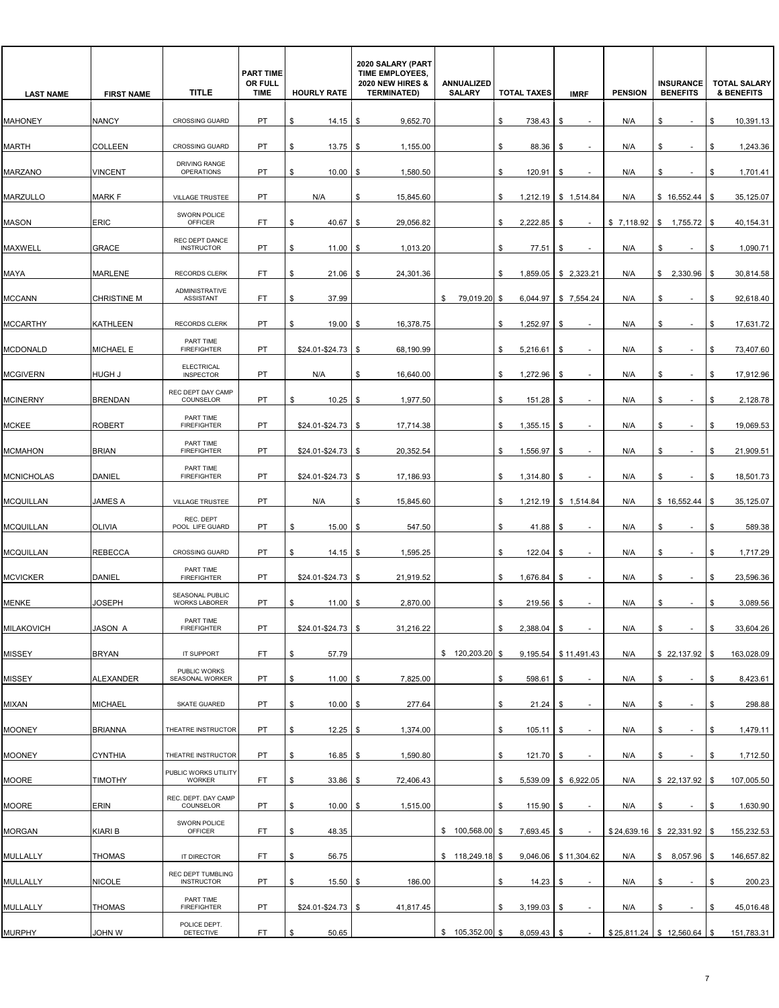| <b>LAST NAME</b>  | <b>FIRST NAME</b>  | <b>TITLE</b>                               | <b>PART TIME</b><br>OR FULL<br><b>TIME</b> | <b>HOURLY RATE</b>   | 2020 SALARY (PART<br>TIME EMPLOYEES,<br><b>2020 NEW HIRES &amp;</b><br><b>TERMINATED)</b> | ANNUALIZED<br><b>SALARY</b> | <b>TOTAL TAXES</b>  | <b>IMRF</b>                    | <b>PENSION</b> | <b>INSURANCE</b><br><b>BENEFITS</b> | <b>TOTAL SALARY</b><br><b>&amp; BENEFITS</b> |
|-------------------|--------------------|--------------------------------------------|--------------------------------------------|----------------------|-------------------------------------------------------------------------------------------|-----------------------------|---------------------|--------------------------------|----------------|-------------------------------------|----------------------------------------------|
| <b>MAHONEY</b>    | <b>NANCY</b>       | <b>CROSSING GUARD</b>                      | PT                                         | \$<br>14.15          | 9,652.70<br>- \$                                                                          |                             | 738.43<br>\$        | \$                             | N/A            | \$                                  | \$<br>10,391.13                              |
| <b>MARTH</b>      | COLLEEN            | <b>CROSSING GUARD</b>                      | PT                                         | 13.75<br>\$          | 1,155.00<br>l \$                                                                          |                             | \$<br>88.36         | \$                             | N/A            | \$<br>$\overline{\phantom{a}}$      | 1,243.36<br>\$                               |
| MARZANO           | <b>VINCENT</b>     | DRIVING RANGE<br><b>OPERATIONS</b>         | PT                                         | 10.00<br>S           | 1,580.50<br>\$                                                                            |                             | \$<br>120.91        | \$                             | N/A            | \$                                  | 1,701.41<br>S                                |
| <b>MARZULLO</b>   | <b>MARK F</b>      | <b>VILLAGE TRUSTEE</b>                     | <b>PT</b>                                  | N/A                  | 15,845.60<br>\$                                                                           |                             | \$                  | $1,212.19$ \ \$ 1,514.84       | N/A            | \$16,552.44                         | \$<br>35,125.07                              |
| <b>MASON</b>      | <b>ERIC</b>        | SWORN POLICE<br>OFFICER                    | FT                                         | \$<br>40.67          | \$<br>29,056.82                                                                           |                             | \$<br>2,222.85      | \$<br>$\sim$                   |                | $$7,118.92$ $$1,755.72$             | -\$<br>40,154.31                             |
| MAXWELL           | <b>GRACE</b>       | REC DEPT DANCE<br><b>INSTRUCTOR</b>        | PT                                         | \$<br>11.00          | 1,013.20<br>\$                                                                            |                             | \$<br>77.51         | \$                             | N/A            | \$                                  | 1,090.71<br>S                                |
| MAYA              | <b>MARLENE</b>     | <b>RECORDS CLERK</b>                       | <b>FT</b>                                  | \$<br>21.06          | 24,301.36<br>\$                                                                           |                             | \$                  | 1,859.05 \$ 2,323.21           | N/A            | \$2,330.96                          | \$<br>30,814.58                              |
| <b>MCCANN</b>     | <b>CHRISTINE M</b> | <b>ADMINISTRATIVE</b><br>ASSISTANT         | FT.                                        | 37.99<br>\$          |                                                                                           | \$ 79,019.20                | \$                  | 6,044.97 \$7,554.24            | N/A            | \$<br>$\sim$                        | 92,618.40<br>\$                              |
| <b>MCCARTHY</b>   | KATHLEEN           | <b>RECORDS CLERK</b>                       | PT                                         | 19.00<br>\$          | 16,378.75<br>\$                                                                           |                             | 1,252.97<br>\$      | \$                             | N/A            | \$                                  | 17,631.72<br>\$                              |
| <b>MCDONALD</b>   | <b>MICHAEL E</b>   | PART TIME<br><b>FIREFIGHTER</b>            | PT                                         | $$24.01 - $24.73$ \$ | 68,190.99                                                                                 |                             | \$<br>5,216.61      | \$                             | N/A            | \$                                  | \$<br>73,407.60                              |
| <b>MCGIVERN</b>   | HUGH J             | <b>ELECTRICAL</b><br><b>INSPECTOR</b>      | PT                                         | N/A                  | \$<br>16,640.00                                                                           |                             | \$<br>1,272.96      | \$<br>٠                        | N/A            | \$<br>$\sim$                        | \$<br>17,912.96                              |
| <b>MCINERNY</b>   | <b>BRENDAN</b>     | REC DEPT DAY CAMP<br>COUNSELOR             | PT                                         | \$<br>10.25          | 1,977.50<br>\$                                                                            |                             | \$<br>151.28        | \$                             | N/A            | \$                                  | 2,128.78<br>\$                               |
| <b>MCKEE</b>      | <b>ROBERT</b>      | PART TIME<br><b>FIREFIGHTER</b>            | PT                                         | $$24.01 - $24.73$ \$ | 17,714.38                                                                                 |                             | \$<br>1,355.15      | \$                             | N/A            | \$                                  | \$<br>19,069.53                              |
| <b>MCMAHON</b>    | <b>BRIAN</b>       | PART TIME<br><b>FIREFIGHTER</b>            | PT                                         | $$24.01 - $24.73$ \$ | 20,352.54                                                                                 |                             | \$<br>1,556.97      | \$<br>٠                        | N/A            | \$<br>$\sim$                        | \$<br>21,909.51                              |
| <b>MCNICHOLAS</b> | DANIEL             | PART TIME<br><b>FIREFIGHTER</b>            | PT                                         | \$24.01-\$24.73      | 17,186.93<br>-\$                                                                          |                             | \$<br>1,314.80      | \$                             | N/A            | \$                                  | 18,501.73<br>\$                              |
| <b>MCQUILLAN</b>  | <b>JAMES A</b>     | VILLAGE TRUSTEE                            | PT                                         | N/A                  | 15,845.60<br>S                                                                            |                             | \$                  | $1,212.19$ \$ 1,514.84         | N/A            | \$16,552.44                         | 35,125.07<br>\$                              |
| <b>MCQUILLAN</b>  | <b>OLIVIA</b>      | REC. DEPT<br>POOL LIFE GUARD               | PT                                         | \$<br>15.00          | 547.50<br>-\$                                                                             |                             | \$<br>41.88         | \$                             | N/A            | \$<br>$\sim$                        | \$<br>589.38                                 |
| <b>MCQUILLAN</b>  | <b>REBECCA</b>     | <b>CROSSING GUARD</b>                      | PT                                         | \$<br>14.15          | 1,595.25<br>l \$                                                                          |                             | \$<br>122.04        | \$                             | N/A            | \$<br>$\sim$                        | \$<br>1,717.29                               |
|                   | DANIEL             | PART TIME<br><b>FIREFIGHTER</b>            | PT                                         |                      | 21,919.52                                                                                 |                             |                     |                                |                | $\sim$                              | 23,596.36                                    |
| <b>MCVICKER</b>   |                    | SEASONAL PUBLIC                            |                                            | $$24.01 - $24.73$ \$ |                                                                                           |                             | \$<br>1,676.84      | \$                             | N/A            | \$                                  | \$                                           |
| <b>MENKE</b>      | JOSEPH             | <b>WORKS LABORER</b><br>PART TIME          | PT                                         | 11.00<br>\$          | 2,870.00<br>- \$                                                                          |                             | \$<br>219.56        | -\$                            | N/A            | \$                                  | 3,089.56<br>\$                               |
| <b>MILAKOVICH</b> | JASON A            | <b>FIREFIGHTER</b>                         | PT                                         | $$24.01 - $24.73$ \$ | 31,216.22                                                                                 |                             | \$<br>$2,388.04$ \$ |                                | N/A            | \$<br>$\sim$                        | 33,604.26<br>\$                              |
| <b>MISSEY</b>     | <b>BRYAN</b>       | IT SUPPORT<br>PUBLIC WORKS                 | FT.                                        | \$<br>57.79          |                                                                                           | \$120,203.20                | \$                  | 9,195.54 \$11,491.43           | N/A            | \$22,137.92                         | 163,028.09<br>\$                             |
| <b>MISSEY</b>     | <b>ALEXANDER</b>   | SEASONAL WORKER                            | PT                                         | $11.00$ \$<br>\$     | 7,825.00                                                                                  |                             | \$<br>$598.61$ \$   |                                | N/A            | \$<br>$\sim$                        | \$<br>8,423.61                               |
| <b>MIXAN</b>      | <b>MICHAEL</b>     | SKATE GUARED                               | PT                                         | \$<br>$10.00$ \ \$   | 277.64                                                                                    |                             | \$<br>21.24         | \$<br>$\overline{\phantom{a}}$ | N/A            | \$<br>$\overline{\phantom{a}}$      | 298.88<br>\$                                 |
| <b>MOONEY</b>     | <b>BRIANNA</b>     | THEATRE INSTRUCTOR                         | PT                                         | \$<br>$12.25$ \$     | 1,374.00                                                                                  |                             | \$<br>105.11        | \$<br>$\sim$                   | N/A            | \$<br>$\sim$                        | \$<br>1,479.11                               |
| <b>MOONEY</b>     | <b>CYNTHIA</b>     | THEATRE INSTRUCTOR<br>PUBLIC WORKS UTILITY | PT                                         | \$<br>$16.85$ \$     | 1,590.80                                                                                  |                             | $121.70$ \$<br>\$   |                                | N/A            | \$<br>$\sim$                        | \$<br>1,712.50                               |
| <b>MOORE</b>      | <b>TIMOTHY</b>     | WORKER<br>REC. DEPT. DAY CAMP              | FT.                                        | \$<br>$33.86$ \$     | 72,406.43                                                                                 |                             | \$                  | 5,539.09 \$ 6,922.05           | N/A            |                                     | 107,005.50                                   |
| <b>MOORE</b>      | ERIN               | COUNSELOR<br>SWORN POLICE                  | PT                                         | \$<br>$10.00$ \$     | 1,515.00                                                                                  |                             | \$<br>115.90        | \$                             | N/A            | \$<br>$\sim$                        | \$<br>1,630.90                               |
| <b>MORGAN</b>     | <b>KIARI B</b>     | OFFICER                                    | FT                                         | 48.35<br>\$          |                                                                                           | \$100,568.00                | 7,693.45 \$<br>\$   |                                |                | $$24,639.16$ \ \$ 22,331.92 \ \$    | 155,232.53                                   |
| MULLALLY          | <b>THOMAS</b>      | IT DIRECTOR                                | FT.                                        | 56.75<br>\$          |                                                                                           | $$118,249.18$ \$            |                     | 9,046.06 \$11,304.62           | N/A            | \$8,057.96                          | 146,657.82                                   |
| MULLALLY          | <b>NICOLE</b>      | REC DEPT TUMBLING<br><b>INSTRUCTOR</b>     | PT                                         | \$<br>15.50          | 186.00<br>-\$                                                                             |                             | 14.23<br>\$         | \$                             | N/A            | \$                                  | 200.23<br>\$                                 |
| MULLALLY          | <b>THOMAS</b>      | PART TIME<br><b>FIREFIGHTER</b>            | PT                                         | $$24.01 - $24.73$ \$ | 41,817.45                                                                                 |                             | \$<br>3,199.03      | \$                             | N/A            | \$<br>$\sim$                        | \$<br>45,016.48                              |
| <b>MURPHY</b>     | W <i>NH</i> OL     | POLICE DEPT.<br>DETECTIVE                  | FT                                         | 50.65<br>\$          |                                                                                           | \$105,352.00                | 8,059.43 \$<br>\$   |                                |                | $$25,811.24$ \$12,560.64 \$         | 151,783.31                                   |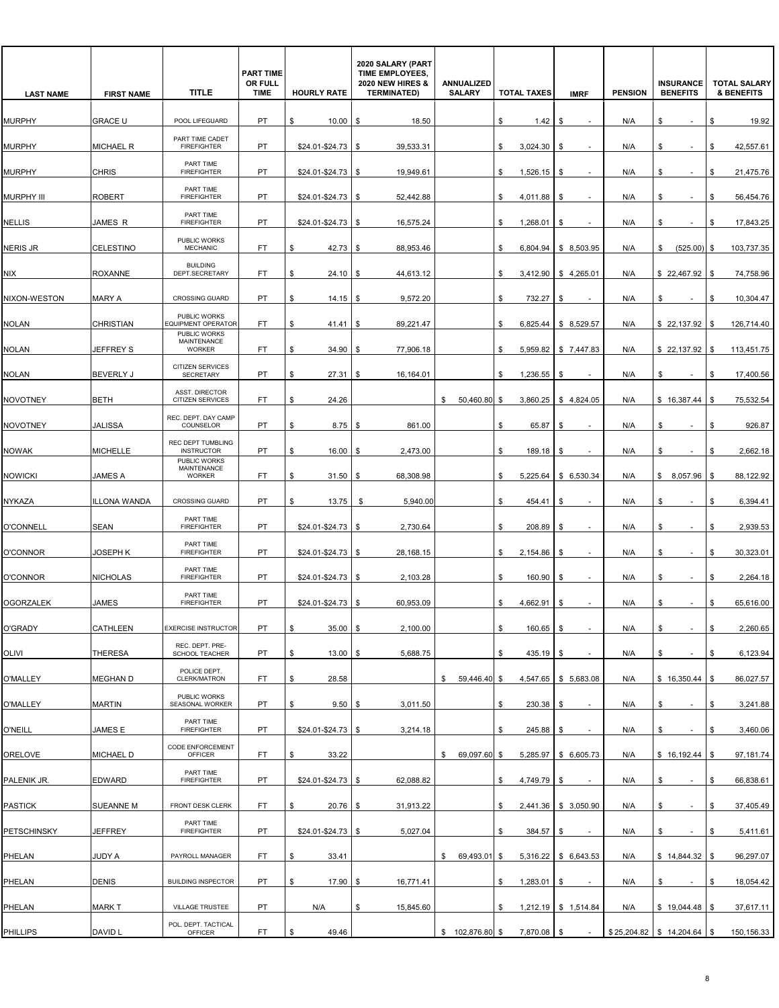| <b>LAST NAME</b>   | <b>FIRST NAME</b> | <b>TITLE</b>                                | <b>PART TIME</b><br>OR FULL<br><b>TIME</b> | <b>HOURLY RATE</b>   | 2020 SALARY (PART<br>TIME EMPLOYEES,<br><b>2020 NEW HIRES &amp;</b><br><b>TERMINATED)</b> | ANNUALIZED<br><b>SALARY</b> | <b>TOTAL TAXES</b> | <b>IMRF</b>                    | <b>PENSION</b> | <b>INSURANCE</b><br><b>BENEFITS</b> | <b>TOTAL SALARY</b><br>& BENEFITS |
|--------------------|-------------------|---------------------------------------------|--------------------------------------------|----------------------|-------------------------------------------------------------------------------------------|-----------------------------|--------------------|--------------------------------|----------------|-------------------------------------|-----------------------------------|
| <b>MURPHY</b>      | <b>GRACE U</b>    | POOL LIFEGUARD                              | PT.                                        | \$<br>10.00          | 18.50<br>S.                                                                               |                             | \$<br>1.42         | \$                             | N/A            | \$                                  | \$<br>19.92                       |
| <b>MURPHY</b>      | <b>MICHAEL R</b>  | PART TIME CADET<br><b>FIREFIGHTER</b>       | PT                                         | $$24.01 - $24.73$ \$ | 39,533.31                                                                                 |                             | \$<br>3,024.30     | \$                             | N/A            | \$<br>$\sim$                        | \$<br>42,557.61                   |
| <b>MURPHY</b>      | <b>CHRIS</b>      | PART TIME<br><b>FIREFIGHTER</b>             | PT                                         | \$24.01-\$24.73      | 19,949.61<br>\$                                                                           |                             | \$<br>1,526.15     | \$                             | N/A            | \$                                  | 21,475.76<br>\$                   |
| <b>MURPHY III</b>  | <b>ROBERT</b>     | PART TIME<br><b>FIREFIGHTER</b>             | PT                                         | \$24.01-\$24.73      | 52,442.88<br>-\$                                                                          |                             | \$<br>4,011.88     | \$                             | N/A            | \$<br>$\overline{\phantom{a}}$      | \$<br>56,454.76                   |
| <b>NELLIS</b>      | JAMES R           | PART TIME<br><b>FIREFIGHTER</b>             | PT                                         | $$24.01 - $24.73$ \$ | 16,575.24                                                                                 |                             | \$<br>1,268.01     | \$<br>$\overline{\phantom{a}}$ | N/A            | \$<br>$\sim$                        | \$<br>17,843.25                   |
| <b>NERIS JR</b>    | CELESTINO         | PUBLIC WORKS<br><b>MECHANIC</b>             | FT                                         | 42.73<br>\$          | 88,953.46<br>\$                                                                           |                             | \$<br>6,804.94     | \$8,503.95                     | N/A            | (525.00)<br>\$                      | 103,737.35<br>\$                  |
| NIX                | <b>ROXANNE</b>    | <b>BUILDING</b><br>DEPT.SECRETARY           | FT.                                        | \$<br>$24.10$ \\$    | 44,613.12                                                                                 |                             | \$                 | 3,412.90   \$4,265.01          | N/A            | \$22,467.92                         | 74,758.96<br>- \$                 |
| NIXON-WESTON       | <b>MARY A</b>     | <b>CROSSING GUARD</b>                       | <b>PT</b>                                  | \$<br>14.15          | 9,572.20<br>- \$                                                                          |                             | \$<br>732.27       | \$                             | N/A            | \$<br>$\sim$                        | \$<br>10,304.47                   |
| <b>NOLAN</b>       | <b>CHRISTIAN</b>  | PUBLIC WORKS<br>EQUIPMENT OPERATOR          | FT                                         | \$<br>41.41          | 89.221.47<br>SS.                                                                          |                             | \$<br>6,825.44     | \$8,529.57                     | N/A            | \$22,137.92                         | 126,714.40<br>\$                  |
| <b>NOLAN</b>       | JEFFREY S         | PUBLIC WORKS<br>MAINTENANCE<br>WORKER       | FT                                         | 34.90<br>\$          | 77,906.18<br>\$                                                                           |                             | \$<br>5.959.82     | \$7,447.83                     | N/A            | \$22,137.92                         | 113,451.75<br>- \$                |
| <b>NOLAN</b>       | <b>BEVERLY J</b>  | <b>CITIZEN SERVICES</b><br><b>SECRETARY</b> | PT                                         | \$<br>27.31          | 16,164.01<br>\$                                                                           |                             | \$<br>1,236.55     | \$                             | N/A            | \$<br>$\sim$                        | 17,400.56<br>\$                   |
| <b>NOVOTNEY</b>    | <b>BETH</b>       | ASST. DIRECTOR<br><b>CITIZEN SERVICES</b>   | FT                                         | \$<br>24.26          |                                                                                           | 50,460.80<br>\$             | \$<br>3,860.25     | \$4,824.05                     | N/A            | \$16,387.44                         | \$<br>75,532.54                   |
| <b>NOVOTNEY</b>    | JALISSA           | REC. DEPT. DAY CAMP<br>COUNSELOR            | PT                                         | 8.75<br>\$           | 861.00<br>- \$                                                                            |                             | \$<br>65.87        | \$                             | N/A            | \$<br>$\sim$                        | \$<br>926.87                      |
| <b>NOWAK</b>       | <b>MICHELLE</b>   | REC DEPT TUMBLING<br><b>INSTRUCTOR</b>      | PT                                         | \$<br>16.00          | 2,473.00<br>\$                                                                            |                             | \$<br>189.18       | \$                             | N/A            | \$                                  | 2,662.18<br>\$                    |
| <b>NOWICKI</b>     | JAMES A           | PUBLIC WORKS<br>MAINTENANCE<br>WORKER       | FT.                                        | \$<br>31.50          | 68,308.98<br>\$                                                                           |                             | \$<br>5,225.64     | \$6,530.34                     | N/A            | \$8,057.96                          | 88,122.92<br>\$                   |
| NYKAZA             | ILLONA WANDA      | <b>CROSSING GUARD</b>                       | PT                                         | 13.75<br>\$          | 5,940.00<br>\$                                                                            |                             | \$<br>454.41       | \$                             | N/A            | \$<br>$\overline{\phantom{a}}$      | 6,394.41<br>\$                    |
| <b>O'CONNELL</b>   | <b>SEAN</b>       | PART TIME<br><b>FIREFIGHTER</b>             | PT                                         | $$24.01 - $24.73$ \$ | 2,730.64                                                                                  |                             | 208.89<br>\$       | \$                             | N/A            | \$<br>$\overline{\phantom{a}}$      | 2,939.53<br>\$                    |
| <b>O'CONNOR</b>    | <b>JOSEPH K</b>   | PART TIME<br><b>FIREFIGHTER</b>             | PT                                         | $$24.01 - $24.73$ \$ | 28.168.15                                                                                 |                             | \$<br>2,154.86     | \$                             | N/A            | \$                                  | 30,323.01<br>\$                   |
| <b>O'CONNOR</b>    | <b>NICHOLAS</b>   | PART TIME<br><b>FIREFIGHTER</b>             | PT                                         | \$24.01-\$24.73      | 2,103.28<br>- \$                                                                          |                             | \$<br>160.90       | \$                             | N/A            | \$<br>$\overline{\phantom{a}}$      | \$<br>2,264.18                    |
| <b>OGORZALEK</b>   | <b>JAMES</b>      | PART TIME<br><b>FIREFIGHTER</b>             | PT                                         | \$24.01-\$24.73      | 60,953.09<br>l \$                                                                         |                             | \$<br>4,662.91     | \$                             | N/A            | \$                                  | \$<br>65,616.00                   |
| O'GRADY            | CATHLEEN          | <b>EXERCISE INSTRUCTOR</b>                  | PT                                         | $35.00$ \$<br>\$     | 2,100.00                                                                                  |                             | $160.65$ \$<br>\$  | $\overline{\phantom{a}}$       | N/A            | \$<br>$\sim$                        | 2,260.65<br>\$                    |
| OLIVI              | <b>THERESA</b>    | REC. DEPT. PRE-<br>SCHOOL TEACHER           | PT                                         | \$<br>$13.00$ \$     | 5,688.75                                                                                  |                             | \$<br>435.19       | \$                             | N/A            | \$<br>$\sim$                        | 6,123.94<br>\$                    |
| <b>O'MALLEY</b>    | MEGHAN D          | POLICE DEPT.<br>CLERK/MATRON                | FT                                         | 28.58<br>\$          |                                                                                           | 59,446.40<br>\$             | \$                 | 4,547.65 \$ 5,683.08           | N/A            | $$16,350.44$ \ \$                   | 86,027.57                         |
| O'MALLEY           | <b>MARTIN</b>     | PUBLIC WORKS<br>SEASONAL WORKER             | PT                                         | $9.50$ \$<br>\$      | 3,011.50                                                                                  |                             | \$<br>230.38       | \$<br>$\sim$                   | N/A            | \$<br>$\overline{\phantom{a}}$      | 3,241.88<br>\$                    |
| <b>O'NEILL</b>     | JAMES E           | PART TIME<br><b>FIREFIGHTER</b>             | PT                                         | $$24.01 - $24.73$ \$ | 3,214.18                                                                                  |                             | \$<br>245.88       | \$                             | N/A            | \$                                  | 3,460.06<br>\$                    |
| ORELOVE            | MICHAEL D         | CODE ENFORCEMENT<br>OFFICER                 | FT.                                        | \$<br>33.22          |                                                                                           | 69,097.60<br>\$             | \$                 | 5,285.97 \$ 6,605.73           | N/A            | \$16,192.44                         | \$<br>97,181.74                   |
| PALENIK JR.        | EDWARD            | PART TIME<br><b>FIREFIGHTER</b>             | PT                                         | $$24.01 - $24.73$ \$ | 62,088.82                                                                                 |                             | \$<br>4,749.79 \$  |                                | N/A            | \$<br>$\sim$                        | 66,838.61<br>\$                   |
| <b>PASTICK</b>     | SUEANNE M         | FRONT DESK CLERK                            | FT                                         | $20.76$ \$<br>\$     | 31,913.22                                                                                 |                             | \$                 | 2,441.36   \$ 3,050.90         | N/A            | \$<br>$\overline{\phantom{a}}$      | 37,405.49<br>\$                   |
| <b>PETSCHINSKY</b> | <b>JEFFREY</b>    | PART TIME<br><b>FIREFIGHTER</b>             | PT                                         | $$24.01 - $24.73$ \$ | 5,027.04                                                                                  |                             | 384.57<br>\$       | \$                             | N/A            | \$<br>$\sim$                        | \$<br>5,411.61                    |
| PHELAN             | JUDY A            | PAYROLL MANAGER                             | FT.                                        | \$<br>33.41          |                                                                                           | \$69,493.01                 | \$                 | 5,316.22 \$ 6,643.53           | N/A            |                                     | 96,297.07                         |
| PHELAN             | <b>DENIS</b>      | <b>BUILDING INSPECTOR</b>                   | PT                                         | 17.90<br>\$          | 16,771.41<br>\$                                                                           |                             | 1,283.01<br>\$     | \$                             | N/A            | \$<br>$\sim$                        | 18,054.42<br>\$                   |
| PHELAN             | <b>MARKT</b>      | VILLAGE TRUSTEE                             | PT                                         | N/A                  | 15,845.60<br>\$                                                                           |                             | \$                 | $1,212.19$ \$ 1,514.84         | N/A            | \$19,044.48                         | 37,617.11                         |
| PHILLIPS           | DAVID L           | POL. DEPT. TACTICAL<br>OFFICER              | FT.                                        | \$<br>49.46          |                                                                                           | $$102,876.80$ \$            | 7,870.08 \$        |                                |                | $$25,204.82$ $$14,204.64$ \$        | 150,156.33                        |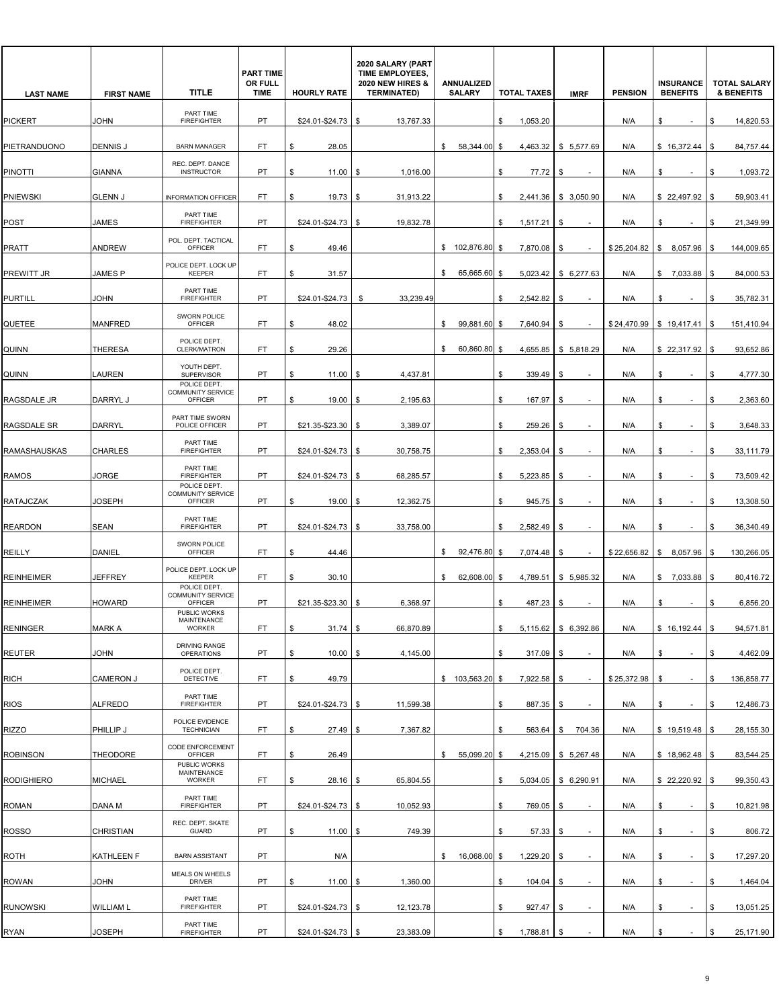| <b>LAST NAME</b>    | <b>FIRST NAME</b> | <b>TITLE</b>                                               | <b>PART TIME</b><br>OR FULL<br><b>TIME</b> | <b>HOURLY RATE</b>   | 2020 SALARY (PART<br>TIME EMPLOYEES,<br><b>2020 NEW HIRES &amp;</b><br><b>TERMINATED)</b> | ANNUALIZED<br><b>SALARY</b> | <b>TOTAL TAXES</b> | <b>IMRF</b>                    | <b>PENSION</b> | <b>INSURANCE</b><br><b>BENEFITS</b> | <b>TOTAL SALARY</b><br><b>&amp; BENEFITS</b> |
|---------------------|-------------------|------------------------------------------------------------|--------------------------------------------|----------------------|-------------------------------------------------------------------------------------------|-----------------------------|--------------------|--------------------------------|----------------|-------------------------------------|----------------------------------------------|
| <b>PICKERT</b>      | JOHN              | PART TIME<br><b>FIREFIGHTER</b>                            | <b>PT</b>                                  | \$24.01-\$24.73      | 13,767.33<br>S.                                                                           |                             | \$<br>1,053.20     |                                | N/A            | \$<br>$\sim$                        | \$<br>14,820.53                              |
| PIETRANDUONO        | <b>DENNIS J</b>   | <b>BARN MANAGER</b>                                        | FT.                                        | 28.05<br>\$          |                                                                                           | 58,344.00<br>\$             | \$                 | 4,463.32 \$ 5,577.69           | N/A            | \$16,372.44                         | 84,757.44<br>\$                              |
| <b>PINOTTI</b>      | <b>GIANNA</b>     | REC. DEPT. DANCE<br><b>INSTRUCTOR</b>                      | PT                                         | 11.00<br>\$          | 1,016.00<br>\$                                                                            |                             | \$<br>77.72        | \$                             | N/A            | \$                                  | 1,093.72<br>\$                               |
| <b>PNIEWSKI</b>     | <b>GLENN J</b>    | <b>INFORMATION OFFICER</b>                                 | FT.                                        | \$<br>19.73          | 31,913.22<br>\$                                                                           |                             | \$                 | 2,441.36 \$ 3,050.90           | N/A            | \$22,497.92                         | 59,903.41<br>\$                              |
| POST                | <b>JAMES</b>      | PART TIME<br><b>FIREFIGHTER</b>                            | PT                                         | $$24.01 - $24.73$ \$ | 19,832.78                                                                                 |                             | \$<br>1,517.21     | \$                             | N/A            | \$<br>$\sim$                        | \$<br>21,349.99                              |
| <b>PRATT</b>        | <b>ANDREW</b>     | POL. DEPT. TACTICAL<br><b>OFFICER</b>                      | FT.                                        | 49.46<br>\$          |                                                                                           | \$ 102,876.80               | \$<br>7,870.08     | \$                             | \$25,204.82    | \$8,057.96                          | 144,009.65<br>- \$                           |
| PREWITT JR          | <b>JAMES P</b>    | POLICE DEPT. LOCK UP<br><b>KEEPER</b>                      | FT.                                        | \$<br>31.57          |                                                                                           | 65,665.60<br>\$             | \$                 | $5,023.42$ \$ 6,277.63         | N/A            | \$7,033.88                          | \$<br>84,000.53                              |
| <b>PURTILL</b>      | JOHN              | PART TIME<br><b>FIREFIGHTER</b>                            | <b>PT</b>                                  | \$24.01-\$24.73      | 33,239.49<br>\$                                                                           |                             | \$<br>2,542.82     | \$                             | N/A            | \$<br>$\sim$                        | 35,782.31<br>\$                              |
| QUETEE              | <b>MANFRED</b>    | SWORN POLICE<br>OFFICER                                    | FT                                         | 48.02<br>\$          |                                                                                           | 99,881.60<br>\$             | 7,640.94<br>\$     | \$                             |                | $$24,470.99$ \ \$ 19,417.41         | 151,410.94<br>- \$                           |
| QUINN               | <b>THERESA</b>    | POLICE DEPT.<br>CLERK/MATRON                               | FT                                         | 29.26<br>\$          |                                                                                           | 60,860.80<br>\$             | \$                 | 4,655.85   \$ 5,818.29         | N/A            | \$22,317.92                         | 93,652.86<br>\$                              |
| QUINN               | <b>LAUREN</b>     | YOUTH DEPT.<br>SUPERVISOR                                  | PT                                         | \$<br>11.00          | 4,437.81<br>- \$                                                                          |                             | \$<br>339.49       | \$                             | N/A            | \$<br>$\overline{\phantom{a}}$      | \$<br>4,777.30                               |
| RAGSDALE JR         | <b>DARRYL J</b>   | POLICE DEPT.<br><b>COMMUNITY SERVICE</b><br><b>OFFICER</b> | PT                                         | \$<br>19.00          | 2,195.63<br>- \$                                                                          |                             | \$<br>167.97       | \$<br>٠                        | N/A            | \$<br>$\sim$                        | \$<br>2,363.60                               |
| RAGSDALE SR         | <b>DARRYL</b>     | PART TIME SWORN<br>POLICE OFFICER                          | PT                                         | $$21.35 - $23.30$ \$ | 3,389.07                                                                                  |                             | 259.26<br>\$       | \$                             | N/A            | \$<br>$\sim$                        | 3,648.33<br>\$                               |
| <b>RAMASHAUSKAS</b> | <b>CHARLES</b>    | PART TIME<br><b>FIREFIGHTER</b>                            | PT                                         | $$24.01 - $24.73$ \$ | 30,758.75                                                                                 |                             | 2,353.04<br>\$     | \$                             | N/A            | \$                                  | \$<br>33,111.79                              |
| <b>RAMOS</b>        | JORGE             | PART TIME<br><b>FIREFIGHTER</b>                            | PT                                         | \$24.01-\$24.73      | 68,285.57<br>\$                                                                           |                             | \$<br>5,223.85     | \$                             | N/A            | \$<br>$\sim$                        | \$<br>73,509.42                              |
| <b>RATAJCZAK</b>    | JOSEPH            | POLICE DEPT.<br>COMMUNITY SERVICE<br>OFFICER               | PT                                         | $19.00$ \$<br>\$.    | 12,362.75                                                                                 |                             | \$<br>945.75       | \$                             | N/A            | \$<br>$\overline{\phantom{a}}$      | 13,308.50<br>\$                              |
| <b>REARDON</b>      | <b>SEAN</b>       | PART TIME<br><b>FIREFIGHTER</b>                            | PT                                         | \$24.01-\$24.73      | 33,758.00<br>\$                                                                           |                             | 2,582.49<br>\$     | \$                             | N/A            | \$                                  | 36,340.49<br>\$                              |
| <b>REILLY</b>       | DANIEL            | SWORN POLICE<br>OFFICER                                    | FT.                                        | \$<br>44.46          |                                                                                           | 92.476.80<br>\$             | \$<br>7,074.48     | \$                             | \$22,656.82    | \$8,057.96                          | 130,266.05<br>- \$                           |
| <b>REINHEIMER</b>   | <b>JEFFREY</b>    | POLICE DEPT. LOCK UP<br><b>KEEPER</b>                      | FT.                                        | \$<br>30.10          |                                                                                           | 62,608.00<br>\$             | \$<br>4,789.51     | \$5,985.32                     | N/A            | \$7,033.88                          | \$<br>80,416.72                              |
| <b>REINHEIMER</b>   | <b>HOWARD</b>     | POLICE DEPT.<br><b>COMMUNITY SERVICE</b><br><b>OFFICER</b> | PT                                         | \$21.35-\$23.30      | 6,368.97<br>l \$                                                                          |                             | \$<br>487.23       | \$                             | N/A            | \$                                  | \$<br>6,856.20                               |
| <b>RENINGER</b>     | <b>MARK A</b>     | PUBLIC WORKS<br>MAINTENANCE<br>WORKER                      | FT                                         | $31.74$ \$<br>\$     | 66,870.89                                                                                 |                             | \$                 | 5,115.62   \$ 6,392.86         | N/A            | $$16,192.44$ \ \$                   | 94,571.81                                    |
| <b>REUTER</b>       | JOHN              | DRIVING RANGE<br><b>OPERATIONS</b>                         | PT                                         | \$<br>$10.00$ \$     | 4,145.00                                                                                  |                             | 317.09<br>\$       | \$                             | N/A            | \$<br>$\sim$                        | \$<br>4,462.09                               |
| <b>RICH</b>         | <b>CAMERON J</b>  | POLICE DEPT.<br><b>DETECTIVE</b>                           | FT.                                        | 49.79<br>\$          |                                                                                           | \$103,563.20                | 7,922.58 \$<br>\$  |                                | \$25,372.98    | \$                                  | 136,858.77<br>\$                             |
| <b>RIOS</b>         | <b>ALFREDO</b>    | PART TIME<br><b>FIREFIGHTER</b>                            | PT                                         | $$24.01 - $24.73$ \$ | 11,599.38                                                                                 |                             | \$<br>887.35       | \$<br>$\overline{\phantom{a}}$ | N/A            | \$<br>$\overline{\phantom{a}}$      | \$<br>12,486.73                              |
| <b>RIZZO</b>        | PHILLIP J         | POLICE EVIDENCE<br><b>TECHNICIAN</b>                       | FT                                         | \$<br>27.49          | 7,367.82<br>  \$                                                                          |                             | \$<br>563.64       | \$<br>704.36                   | N/A            | \$19,519.48                         | 28,155.30<br>\$                              |
| <b>ROBINSON</b>     | <b>THEODORE</b>   | CODE ENFORCEMENT<br>OFFICER                                | FT.                                        | \$<br>26.49          |                                                                                           | 55,099.20<br>\$             | \$                 | $4.215.09$ \ \$ 5.267.48       | N/A            | \$18,962.48                         | 83,544.25<br>\$                              |
| <b>RODIGHIERO</b>   | <b>MICHAEL</b>    | PUBLIC WORKS<br>MAINTENANCE<br><b>WORKER</b>               | FT.                                        | $28.16$ \$<br>\$     | 65,804.55                                                                                 |                             | \$                 | 5,034.05   \$ 6,290.91         | N/A            | $$22,220.92$ \\$                    | 99,350.43                                    |
| <b>ROMAN</b>        | DANA M            | PART TIME<br><b>FIREFIGHTER</b>                            | PT                                         | \$24.01-\$24.73      | 10,052.93<br>l \$                                                                         |                             | 769.05<br>\$       | \$                             | N/A            | \$<br>$\overline{\phantom{a}}$      | 10,821.98<br>\$                              |
| <b>ROSSO</b>        | CHRISTIAN         | REC. DEPT. SKATE<br><b>GUARD</b>                           | PT                                         | \$<br>$11.00$ \ \$   | 749.39                                                                                    |                             | \$<br>$57.33$ \$   |                                | N/A            | \$<br>$\sim$                        | \$<br>806.72                                 |
| ROTH                | KATHLEEN F        | <b>BARN ASSISTANT</b>                                      | PT                                         | N/A                  |                                                                                           | \$ 16,068.00                | \$<br>1,229.20     | \$<br>$\overline{\phantom{a}}$ | N/A            | \$<br>$\sim$                        | \$<br>17,297.20                              |
| <b>ROWAN</b>        | JOHN              | MEALS ON WHEELS<br><b>DRIVER</b>                           | PT                                         | 11.00<br>\$          | 1,360.00<br>\$                                                                            |                             | 104.04<br>\$       | \$                             | N/A            | \$<br>$\overline{\phantom{a}}$      | 1,464.04<br>\$                               |
| <b>RUNOWSKI</b>     | <b>WILLIAM L</b>  | PART TIME<br><b>FIREFIGHTER</b>                            | PT                                         | $$24.01 - $24.73$ \$ | 12,123.78                                                                                 |                             | \$<br>927.47       | - \$                           | N/A            | \$                                  | \$<br>13,051.25                              |
| RYAN                | JOSEPH            | PART TIME<br><b>FIREFIGHTER</b>                            | PT                                         | $$24.01 - $24.73$ \$ | 23,383.09                                                                                 |                             | \$<br>1,788.81 \$  |                                | N/A            | \$<br>$\sim$                        | \$<br>25,171.90                              |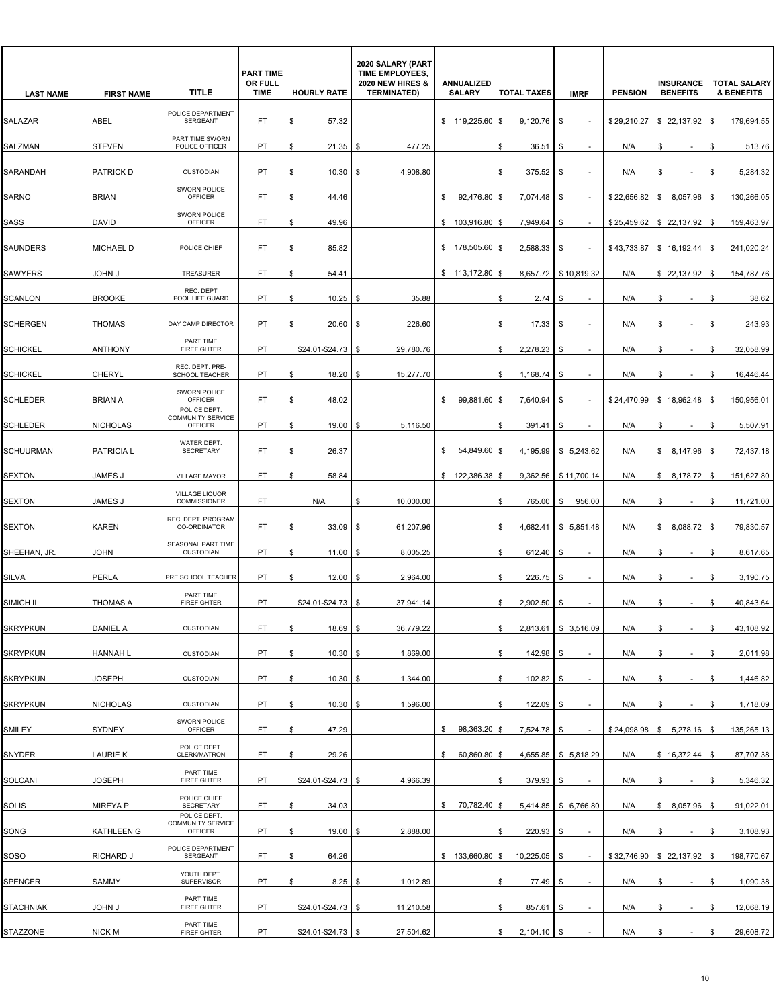| <b>LAST NAME</b> | <b>FIRST NAME</b> | <b>TITLE</b>                                        | <b>PART TIME</b><br>OR FULL<br><b>TIME</b> | <b>HOURLY RATE</b>   | 2020 SALARY (PART<br>TIME EMPLOYEES,<br><b>2020 NEW HIRES &amp;</b><br><b>TERMINATED)</b> | ANNUALIZED<br><b>SALARY</b> | <b>TOTAL TAXES</b>  | <b>IMRF</b>                    | <b>PENSION</b> | <b>INSURANCE</b><br><b>BENEFITS</b> | <b>TOTAL SALARY</b><br><b>&amp; BENEFITS</b> |
|------------------|-------------------|-----------------------------------------------------|--------------------------------------------|----------------------|-------------------------------------------------------------------------------------------|-----------------------------|---------------------|--------------------------------|----------------|-------------------------------------|----------------------------------------------|
| SALAZAR          | ABEL              | POLICE DEPARTMENT<br><b>SERGEANT</b>                | FT.                                        | \$<br>57.32          |                                                                                           | \$119,225.60                | \$<br>9,120.76      | \$                             | \$29,210,27    | \$22,137.92                         | \$<br>179,694.55                             |
| SALZMAN          | <b>STEVEN</b>     | PART TIME SWORN<br>POLICE OFFICER                   | PT                                         | 21.35<br>\$          | 477.25<br>l \$                                                                            |                             | \$<br>36.51         | \$<br>$\overline{\phantom{a}}$ | N/A            | \$<br>$\sim$                        | \$<br>513.76                                 |
| SARANDAH         | PATRICK D         | <b>CUSTODIAN</b>                                    | PT                                         | 10.30<br>\$          | 4,908.80<br>\$                                                                            |                             | 375.52<br>\$        | \$                             | N/A            | \$                                  | 5,284.32<br>\$                               |
| <b>SARNO</b>     | <b>BRIAN</b>      | SWORN POLICE<br><b>OFFICER</b>                      | FT.                                        | \$<br>44.46          |                                                                                           | 92,476.80<br>\$             | 7,074.48<br>-\$     | \$                             | \$22,656.82    | \$<br>8,057.96                      | \$<br>130,266.05                             |
| SASS             | DAVID             | SWORN POLICE<br><b>OFFICER</b>                      | FT.                                        | \$<br>49.96          |                                                                                           | \$103,916.80                | \$<br>7,949.64      | \$                             |                | $$25,459.62$ $$22,137.92$           | \$<br>159,463.97                             |
| <b>SAUNDERS</b>  | MICHAEL D         | POLICE CHIEF                                        | FT.                                        | 85.82<br>\$          |                                                                                           | \$178,505.60                | 2,588.33<br>\$      | \$                             | \$43,733.87    | \$16,192.44                         | 241,020.24<br>\$                             |
| <b>SAWYERS</b>   | John J            | TREASURER                                           | FT.                                        | \$<br>54.41          |                                                                                           | \$113,172.80                | \$                  | 8,657.72 \$10,819.32           | N/A            | \$22,137.92                         | \$<br>154,787.76                             |
| <b>SCANLON</b>   | <b>BROOKE</b>     | REC. DEPT<br>POOL LIFE GUARD                        | PT                                         | \$<br>10.25          | 35.88<br>- \$                                                                             |                             | \$<br>2.74          | \$                             | N/A            | \$<br>$\overline{\phantom{a}}$      | \$<br>38.62                                  |
| <b>SCHERGEN</b>  | THOMAS            | DAY CAMP DIRECTOR                                   | PT                                         | 20.60<br>\$          | 226.60<br>S.                                                                              |                             | \$<br>17.33         | \$                             | N/A            | \$                                  | 243.93<br>\$                                 |
| <b>SCHICKEL</b>  | <b>ANTHONY</b>    | PART TIME<br><b>FIREFIGHTER</b>                     | <b>PT</b>                                  | $$24.01 - $24.73$ \$ | 29,780.76                                                                                 |                             | 2,278.23<br>\$      | \$                             | N/A            | \$                                  | 32,058.99<br>\$                              |
| <b>SCHICKEL</b>  | CHERYL            | REC. DEPT. PRE-<br>SCHOOL TEACHER                   | PT                                         | 18.20<br>\$          | 15,277.70<br>-\$                                                                          |                             | \$<br>1,168.74      | \$                             | N/A            | \$                                  | \$<br>16,446.44                              |
| <b>SCHLEDER</b>  | BRIAN A           | SWORN POLICE<br>OFFICER                             | FT                                         | \$<br>48.02          |                                                                                           | 99,881.60<br>\$             | \$<br>7,640.94      | \$                             | \$24,470.99    | \$18,962.48                         | \$<br>150,956.01                             |
| <b>SCHLEDER</b>  | <b>NICHOLAS</b>   | POLICE DEPT.<br><b>COMMUNITY SERVICE</b><br>OFFICER | PT                                         | 19.00<br>\$          | 5,116.50<br>\$                                                                            |                             | \$<br>391.41        | \$                             | N/A            | \$                                  | 5,507.91<br>\$                               |
| <b>SCHUURMAN</b> | PATRICIA L        | WATER DEPT.<br><b>SECRETARY</b>                     | FT.                                        | 26.37<br>\$          |                                                                                           | \$<br>54,849.60             | \$                  | 4,195.99 \$ 5,243.62           | N/A            | \$8,147.96                          | 72,437.18<br>\$                              |
| <b>SEXTON</b>    | <b>JAMES J</b>    | VILLAGE MAYOR                                       | FT.                                        | \$<br>58.84          |                                                                                           | \$122,386.38]               | \$<br>9,362.56      | \$11,700.14                    | N/A            | \$8,178.72                          | \$<br>151,627.80                             |
| <b>SEXTON</b>    | JAMES J           | VILLAGE LIQUOR<br>COMMISSIONER                      | FT.                                        | N/A                  | 10,000.00<br>S                                                                            |                             | \$<br>765.00        | 956.00<br>\$                   | N/A            | \$                                  | \$<br>11,721.00                              |
| <b>SEXTON</b>    | KAREN             | REC. DEPT. PROGRAM<br>CO-ORDINATOR                  | FT.                                        | 33.09<br>\$          | 61,207.96<br>-\$                                                                          |                             | \$                  | 4,682.41   \$ 5,851.48         | N/A            | \$8,088.72                          | 79,830.57<br>\$                              |
| SHEEHAN, JR.     | JOHN              | SEASONAL PART TIME<br><b>CUSTODIAN</b>              | PT                                         | \$<br>11.00          | 8,005.25<br>- \$                                                                          |                             | \$<br>612.40        | \$                             | N/A            | \$                                  | \$<br>8,617.65                               |
| <b>SILVA</b>     | PERLA             | PRE SCHOOL TEACHER                                  | <b>PT</b>                                  | \$<br>12.00          | 2,964.00<br>\$                                                                            |                             | \$<br>226.75        | \$                             | N/A            | \$                                  | \$<br>3,190.75                               |
| SIMICH II        | THOMAS A          | PART TIME<br><b>FIREFIGHTER</b>                     | PT                                         | \$24.01-\$24.73      | 37,941.14<br>l \$                                                                         |                             | 2,902.50<br>\$      | \$                             | N/A            | \$                                  | 40,843.64<br>\$                              |
| <b>SKRYPKUN</b>  | DANIEL A          | <b>CUSTODIAN</b>                                    | FT                                         | $18.69$ \$<br>\$     | 36,779.22                                                                                 |                             | \$                  | 2,813.61   \$ 3,516.09         | N/A            | \$<br>٠                             | 43,108.92<br>\$                              |
| <b>SKRYPKUN</b>  | HANNAH L          | <b>CUSTODIAN</b>                                    | PT                                         | \$<br>$10.30$ \$     | 1,869.00                                                                                  |                             | \$<br>142.98 \$     |                                | N/A            | \$<br>$\overline{\phantom{a}}$      | \$<br>2,011.98                               |
| <b>SKRYPKUN</b>  | JOSEPH            | <b>CUSTODIAN</b>                                    | PT                                         | $10.30$ \$<br>\$     | 1,344.00                                                                                  |                             | \$<br>102.82        | - \$                           | N/A            | \$                                  | 1,446.82<br>\$                               |
| <b>SKRYPKUN</b>  | <b>NICHOLAS</b>   | <b>CUSTODIAN</b>                                    | PT                                         | $10.30$ \$<br>\$     | 1,596.00                                                                                  |                             | \$<br>122.09        | \$<br>$\sim$                   | N/A            | \$<br>٠                             | 1,718.09<br>\$                               |
| SMILEY           | SYDNEY            | SWORN POLICE<br>OFFICER                             | FT                                         | 47.29<br>\$          |                                                                                           | 98,363.20 \$<br>\$          | $7,524.78$ \$       |                                | \$24,098.98    | \$5,278.16                          | 135,265.13<br>\$                             |
| SNYDER           | LAURIE K          | POLICE DEPT.<br>CLERK/MATRON                        | FT.                                        | \$<br>29.26          |                                                                                           | \$<br>60,860.80             | \$                  | 4,655.85 \$ 5,818.29           | N/A            | \$16,372.44                         | \$<br>87,707.38                              |
| SOLCANI          | JOSEPH            | PART TIME<br><b>FIREFIGHTER</b>                     | PT                                         | $$24.01 - $24.73$ \$ | 4,966.39                                                                                  |                             | \$<br>$379.93$ \$   |                                | N/A            | \$<br>$\overline{\phantom{a}}$      | \$<br>5,346.32                               |
| <b>SOLIS</b>     | MIREYA P          | POLICE CHIEF<br>SECRETARY                           | FT                                         | \$<br>34.03          |                                                                                           | 70,782.40 \$<br>\$          |                     | 5,414.85   \$ 6,766.80         | N/A            | 8,057.96<br>\$                      | 91,022.01<br>\$                              |
| SONG             | KATHLEEN G        | POLICE DEPT.<br>COMMUNITY SERVICE<br>OFFICER        | PT                                         | \$<br>$19.00$ \$     | 2,888.00                                                                                  |                             | \$<br>220.93        | \$                             | N/A            | \$                                  | \$<br>3,108.93                               |
| SOSO             | RICHARD J         | POLICE DEPARTMENT<br>SERGEANT                       | FT                                         | \$<br>64.26          |                                                                                           | $$133,660.80$ \$            | $10,225.05$ \$      | $\sim$                         |                | $$32,746.90$ $$22,137.92$           | 198,770.67<br>\$                             |
| SPENCER          | SAMMY             | YOUTH DEPT.<br>SUPERVISOR                           | PT                                         | 8.25<br>\$           | 1,012.89<br>\$                                                                            |                             | \$<br>77.49         | \$<br>$\blacksquare$           | N/A            | \$                                  | \$<br>1,090.38                               |
| <b>STACHNIAK</b> | <b>U MHOL</b>     | PART TIME<br><b>FIREFIGHTER</b>                     | PT                                         | $$24.01 - $24.73$ \$ | 11,210.58                                                                                 |                             | \$<br>857.61        | - \$                           | N/A            | \$                                  | 12,068.19<br>\$                              |
| STAZZONE         | <b>NICK M</b>     | PART TIME<br><b>FIREFIGHTER</b>                     | PT                                         | $$24.01 - $24.73$ \$ | 27,504.62                                                                                 |                             | $2,104.10$ \$<br>\$ |                                | N/A            | \$<br>$\sim$                        | \$<br>29,608.72                              |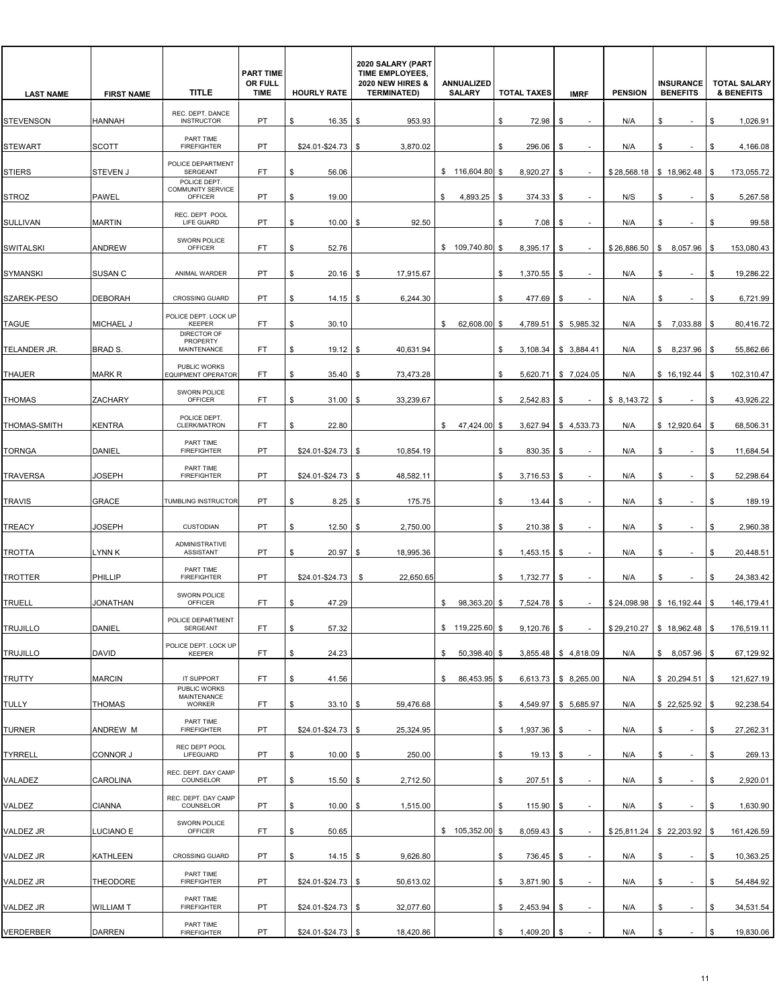| <b>LAST NAME</b>    | <b>FIRST NAME</b> | <b>TITLE</b>                                  | <b>PART TIME</b><br>OR FULL<br><b>TIME</b> | <b>HOURLY RATE</b>   | 2020 SALARY (PART<br>TIME EMPLOYEES,<br><b>2020 NEW HIRES &amp;</b><br><b>TERMINATED)</b> | ANNUALIZED<br><b>SALARY</b> | <b>TOTAL TAXES</b>  | <b>IMRF</b>                    | <b>PENSION</b> | <b>INSURANCE</b><br><b>BENEFITS</b> | <b>TOTAL SALARY</b><br><b>&amp; BENEFITS</b> |
|---------------------|-------------------|-----------------------------------------------|--------------------------------------------|----------------------|-------------------------------------------------------------------------------------------|-----------------------------|---------------------|--------------------------------|----------------|-------------------------------------|----------------------------------------------|
| <b>STEVENSON</b>    | <b>HANNAH</b>     | REC. DEPT. DANCE<br><b>INSTRUCTOR</b>         | <b>PT</b>                                  | 16.35<br>S.          | 953.93<br>l \$                                                                            |                             | \$<br>72.98         | \$                             | N/A            | S                                   | \$<br>1,026.91                               |
| <b>STEWART</b>      | <b>SCOTT</b>      | PART TIME<br><b>FIREFIGHTER</b>               | <b>PT</b>                                  | \$24.01-\$24.73      | - \$<br>3,870.02                                                                          |                             | \$<br>296.06        | \$                             | N/A            | \$<br>$\sim$                        | \$<br>4,166.08                               |
| <b>STIERS</b>       | <b>STEVEN J</b>   | POLICE DEPARTMENT<br><b>SERGEANT</b>          | FT                                         | 56.06<br>\$          |                                                                                           | \$116,604.80                | \$<br>8,920.27      | \$                             | \$28,568.18    | \$18,962.48                         | 173,055.72<br>\$                             |
| <b>STROZ</b>        | <b>PAWEL</b>      | POLICE DEPT.<br>COMMUNITY SERVICE<br>OFFICER  | PT                                         | 19.00<br>\$          |                                                                                           | 4,893.25<br>\$              | 374.33<br>\$        | \$                             | N/S            | \$<br>$\sim$                        | \$<br>5,267.58                               |
| <b>SULLIVAN</b>     | <b>MARTIN</b>     | REC. DEPT POOL<br>LIFE GUARD                  | PT                                         | \$<br>10.00          | 92.50<br>\$                                                                               |                             | \$<br>7.08          | \$                             | N/A            | \$<br>$\sim$                        | 99.58<br>\$                                  |
| <b>SWITALSKI</b>    | <b>ANDREW</b>     | SWORN POLICE<br><b>OFFICER</b>                | FT                                         | 52.76<br>\$          |                                                                                           | \$109,740.80                | 8,395.17<br>\$      | \$                             | \$26,886.50    | \$<br>8,057.96                      | 153,080.43<br>\$                             |
| <b>SYMANSKI</b>     | <b>SUSAN C</b>    | ANIMAL WARDER                                 | <b>PT</b>                                  | \$<br>20.16          | 17,915.67<br>- \$                                                                         |                             | 1,370.55<br>\$      | \$                             | N/A            | \$<br>$\sim$                        | 19,286.22<br>\$                              |
| SZAREK-PESO         | <b>DEBORAH</b>    | <b>CROSSING GUARD</b>                         | PT                                         | \$<br>14.15          | 6,244.30<br>S                                                                             |                             | \$<br>477.69        | \$                             | N/A            | \$                                  | 6,721.99<br>\$                               |
| <b>TAGUE</b>        | <b>MICHAEL J</b>  | POLICE DEPT. LOCK UP<br><b>KEEPER</b>         | FT.                                        | \$<br>30.10          |                                                                                           | 62,608.00<br>\$             | \$<br>4,789.51      | \$5,985.32                     | N/A            | \$7,033.88                          | \$<br>80,416.72                              |
| TELANDER JR.        | <b>BRAD S.</b>    | DIRECTOR OF<br>PROPERTY<br><b>MAINTENANCE</b> | FT.                                        | \$<br>19.12          | 40,631.94<br>l \$                                                                         |                             | \$<br>3,108.34      | \$3,884.41                     | N/A            | \$8,237.96                          | 55,862.66<br>\$                              |
| <b>THAUER</b>       | <b>MARK R</b>     | PUBLIC WORKS<br><b>EQUIPMENT OPERATOR</b>     | FT                                         | 35.40<br>\$          | 73,473.28<br>l \$                                                                         |                             | \$                  | 5,620.71   \$7,024.05          | N/A            | \$16,192.44                         | 102,310.47<br>\$                             |
| <b>THOMAS</b>       | <b>ZACHARY</b>    | SWORN POLICE<br>OFFICER                       | FT.                                        | \$<br>31.00          | 33,239.67<br>\$                                                                           |                             | \$<br>2,542.83      | \$                             | \$8,143.72     | \$<br>$\overline{\phantom{a}}$      | 43,926.22<br>\$                              |
| <b>THOMAS-SMITH</b> | KENTRA            | POLICE DEPT.<br>CLERK/MATRON                  | FT.                                        | 22.80<br>\$          |                                                                                           | 47,424.00<br>\$             | \$<br>3,627.94      | \$4,533.73                     | N/A            | \$12,920.64                         | \$<br>68,506.31                              |
| <b>TORNGA</b>       | DANIEL            | PART TIME<br><b>FIREFIGHTER</b>               | PT                                         | \$24.01-\$24.73      | 10,854.19<br>- \$                                                                         |                             | \$<br>830.35        | \$                             | N/A            | \$<br>$\sim$                        | 11,684.54<br>\$                              |
| <b>TRAVERSA</b>     | <b>JOSEPH</b>     | PART TIME<br><b>FIREFIGHTER</b>               | PT                                         | $$24.01 - $24.73$ \$ | 48,582.11                                                                                 |                             | \$<br>3,716.53      | \$                             | N/A            | \$                                  | 52,298.64<br>\$                              |
| <b>TRAVIS</b>       | <b>GRACE</b>      | TUMBLING INSTRUCTOR                           | PT                                         | 8.25<br>\$.          | 175.75<br>\$                                                                              |                             | \$<br>13.44         | \$                             | N/A            | \$<br>$\overline{\phantom{a}}$      | \$<br>189.19                                 |
| <b>TREACY</b>       | JOSEPH            | <b>CUSTODIAN</b>                              | PT                                         | 12.50<br>\$          | 2,750.00<br>l \$                                                                          |                             | 210.38<br>\$        | \$                             | N/A            | \$                                  | 2,960.38<br>\$                               |
| <b>TROTTA</b>       | LYNN K            | ADMINISTRATIVE<br>ASSISTANT                   | PT                                         | 20.97<br>\$          | 18,995.36<br>\$                                                                           |                             | \$<br>1,453.15      | \$                             | N/A            | \$<br>$\overline{\phantom{a}}$      | 20,448.51<br>\$                              |
| <b>TROTTER</b>      | PHILLIP           | PART TIME<br><b>FIREFIGHTER</b>               | PT                                         | \$24.01-\$24.73      | 22,650.65<br>S                                                                            |                             | 1,732.77<br>S.      | \$                             | N/A            | \$                                  | 24,383.42<br>\$.                             |
| <b>TRUELL</b>       | JONATHAN          | SWORN POLICE<br><b>OFFICER</b>                | FT.                                        | 47.29<br>\$          |                                                                                           | 98,363.20<br>\$             | \$<br>7,524.78      | \$                             |                | $$24,098.98$ \ \$ 16,192.44 \ \$    | 146,179.41                                   |
| <b>TRUJILLO</b>     | <b>DANIEL</b>     | POLICE DEPARTMENT<br>SERGEANT                 | FT                                         | 57.32<br>\$          |                                                                                           | \$119,225.60                | \$<br>$9,120.76$ \$ |                                |                | $$29,210.27$ $$18,962.48$ \ \$      | 176,519.11                                   |
| <b>TRUJILLO</b>     | <b>DAVID</b>      | POLICE DEPT. LOCK UP<br>KEEPER                | FT                                         | 24.23<br>\$          |                                                                                           | \$<br>50,398.40             | \$                  | 3,855.48 \$4,818.09            | N/A            | $$8,057.96$ \$                      | 67,129.92                                    |
| <b>TRUTTY</b>       | <b>MARCIN</b>     | IT SUPPORT                                    | FT.                                        | \$<br>41.56          |                                                                                           | 86,453.95<br>\$             | \$                  | $6,613.73$ \$ 8,265.00         | N/A            | \$ 20,294.51                        | \$<br>121,627.19                             |
| <b>TULLY</b>        | <b>THOMAS</b>     | PUBLIC WORKS<br>MAINTENANCE<br><b>WORKER</b>  | FT.                                        | $33.10$ \$<br>\$     | 59,476.68                                                                                 |                             | \$                  | 4,549.97   \$ 5,685.97         | N/A            | $$22,525.92$ \\$                    | 92,238.54                                    |
| <b>TURNER</b>       | ANDREW M          | PART TIME<br><b>FIREFIGHTER</b>               | PT                                         | \$24.01-\$24.73      | 25,324.95<br>\$                                                                           |                             | 1,937.36<br>\$      | \$                             | N/A            | \$<br>$\overline{\phantom{a}}$      | 27,262.31<br>\$                              |
| <b>TYRRELL</b>      | CONNOR J          | REC DEPT POOL<br>LIFEGUARD                    | PT                                         | \$<br>$10.00$ \ \$   | 250.00                                                                                    |                             | \$<br>$19.13$ \$    |                                | N/A            | \$<br>$\sim$                        | \$<br>269.13                                 |
| VALADEZ             | CAROLINA          | REC. DEPT. DAY CAMP<br>COUNSELOR              | PT                                         | \$<br>$15.50$ \$     | 2,712.50                                                                                  |                             | \$<br>207.51        | \$<br>$\overline{\phantom{a}}$ | N/A            | \$<br>$\sim$                        | 2,920.01<br>\$                               |
| VALDEZ              | <b>CIANNA</b>     | REC. DEPT. DAY CAMP<br>COUNSELOR              | PT                                         | \$<br>10.00          | 1,515.00<br>  \$                                                                          |                             | 115.90<br>\$        | \$                             | N/A            | \$<br>$\sim$                        | 1,630.90<br>\$                               |
| VALDEZ JR           | LUCIANO E         | SWORN POLICE<br>OFFICER                       | FT.                                        | 50.65<br>\$          |                                                                                           | \$105,352.00                | 8,059.43 \$<br>\$   |                                |                | $$25,811.24$ $$22,203.92$           | 161,426.59<br>-\$                            |
| VALDEZ JR           | KATHLEEN          | <b>CROSSING GUARD</b>                         | PT                                         | \$<br>$14.15$ \$     | 9,626.80                                                                                  |                             | \$<br>736.45        | \$<br>$\overline{\phantom{a}}$ | N/A            | \$<br>$\sim$                        | \$<br>10,363.25                              |
| VALDEZ JR           | THEODORE          | PART TIME<br><b>FIREFIGHTER</b>               | PT                                         | $$24.01 - $24.73$ \$ | 50,613.02                                                                                 |                             | 3,871.90<br>\$      | \$                             | N/A            | \$<br>$\overline{\phantom{a}}$      | 54,484.92<br>\$                              |
| VALDEZ JR           | WILLIAM T         | PART TIME<br><b>FIREFIGHTER</b>               | PT                                         | $$24.01 - $24.73$ \$ | 32,077.60                                                                                 |                             | 2,453.94<br>\$      | \$                             | N/A            | \$<br>$\sim$                        | 34,531.54<br>\$                              |
| <b>VERDERBER</b>    | <b>DARREN</b>     | PART TIME<br><b>FIREFIGHTER</b>               | PT                                         | $$24.01 - $24.73$ \$ | 18,420.86                                                                                 |                             | 1,409.20 \$<br>\$   |                                | N/A            | \$<br>$\sim$                        | 19,830.06<br>\$                              |